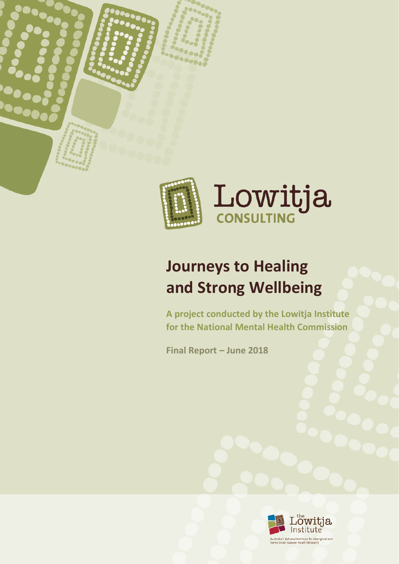

# **Journeys to Healing and Strong Wellbeing**

**A project conducted by the Lowitja Institute for the National Mental Health Commission**

**Final Report – June 2018**

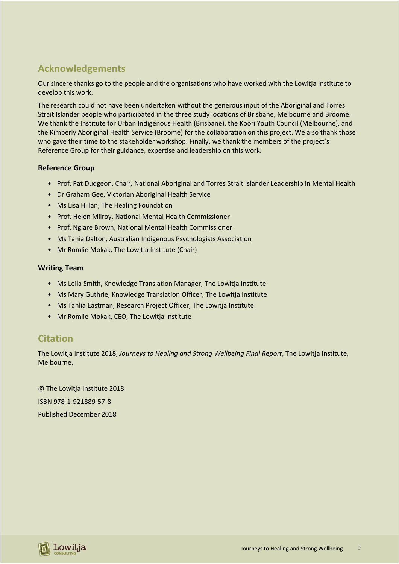# **Acknowledgements**

Our sincere thanks go to the people and the organisations who have worked with the Lowitja Institute to develop this work.

The research could not have been undertaken without the generous input of the Aboriginal and Torres Strait Islander people who participated in the three study locations of Brisbane, Melbourne and Broome. We thank the Institute for Urban Indigenous Health (Brisbane), the Koori Youth Council (Melbourne), and the Kimberly Aboriginal Health Service (Broome) for the collaboration on this project. We also thank those who gave their time to the stakeholder workshop. Finally, we thank the members of the project's Reference Group for their guidance, expertise and leadership on this work.

#### **Reference Group**

- Prof. Pat Dudgeon, Chair, National Aboriginal and Torres Strait Islander Leadership in Mental Health
- Dr Graham Gee, Victorian Aboriginal Health Service
- Ms Lisa Hillan, The Healing Foundation
- Prof. Helen Milroy, National Mental Health Commissioner
- Prof. Ngiare Brown, National Mental Health Commissioner
- Ms Tania Dalton, Australian Indigenous Psychologists Association
- Mr Romlie Mokak, The Lowitja Institute (Chair)

#### **Writing Team**

- Ms Leila Smith, Knowledge Translation Manager, The Lowitja Institute
- Ms Mary Guthrie, Knowledge Translation Officer, The Lowitja Institute
- Ms Tahlia Eastman, Research Project Officer, The Lowitja Institute
- Mr Romlie Mokak, CEO, The Lowitja Institute

## **Citation**

The Lowitja Institute 2018, *Journeys to Healing and Strong Wellbeing Final Report*, The Lowitja Institute, Melbourne.

@ The Lowitja Institute 2018 ISBN 978-1-921889-57-8 Published December 2018

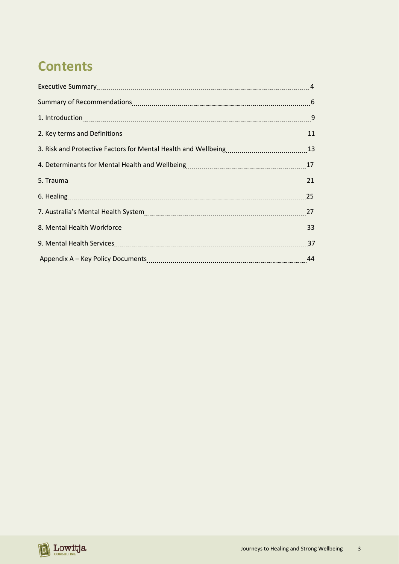# **Contents**

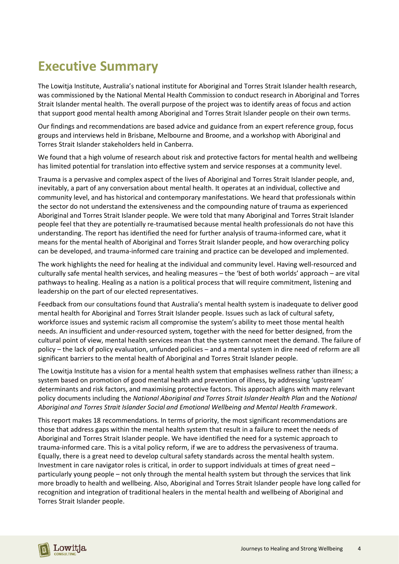# **Executive Summary**

The Lowitja Institute, Australia's national institute for Aboriginal and Torres Strait Islander health research, was commissioned by the National Mental Health Commission to conduct research in Aboriginal and Torres Strait Islander mental health. The overall purpose of the project was to identify areas of focus and action that support good mental health among Aboriginal and Torres Strait Islander people on their own terms.

Our findings and recommendations are based advice and guidance from an expert reference group, focus groups and interviews held in Brisbane, Melbourne and Broome, and a workshop with Aboriginal and Torres Strait Islander stakeholders held in Canberra.

We found that a high volume of research about risk and protective factors for mental health and wellbeing has limited potential for translation into effective system and service responses at a community level.

Trauma is a pervasive and complex aspect of the lives of Aboriginal and Torres Strait Islander people, and, inevitably, a part of any conversation about mental health. It operates at an individual, collective and community level, and has historical and contemporary manifestations. We heard that professionals within the sector do not understand the extensiveness and the compounding nature of trauma as experienced Aboriginal and Torres Strait Islander people. We were told that many Aboriginal and Torres Strait Islander people feel that they are potentially re-traumatised because mental health professionals do not have this understanding. The report has identified the need for further analysis of trauma-informed care, what it means for the mental health of Aboriginal and Torres Strait Islander people, and how overarching policy can be developed, and trauma-informed care training and practice can be developed and implemented.

The work highlights the need for healing at the individual and community level. Having well-resourced and culturally safe mental health services, and healing measures – the 'best of both worlds' approach – are vital pathways to healing. Healing as a nation is a political process that will require commitment, listening and leadership on the part of our elected representatives.

Feedback from our consultations found that Australia's mental health system is inadequate to deliver good mental health for Aboriginal and Torres Strait Islander people. Issues such as lack of cultural safety, workforce issues and systemic racism all compromise the system's ability to meet those mental health needs. An insufficient and under-resourced system, together with the need for better designed, from the cultural point of view, mental health services mean that the system cannot meet the demand. The failure of policy – the lack of policy evaluation, unfunded policies – and a mental system in dire need of reform are all significant barriers to the mental health of Aboriginal and Torres Strait Islander people.

The Lowitja Institute has a vision for a mental health system that emphasises wellness rather than illness; a system based on promotion of good mental health and prevention of illness, by addressing 'upstream' determinants and risk factors, and maximising protective factors. This approach aligns with many relevant policy documents including the *National Aboriginal and Torres Strait Islander Health Plan* and the *National Aboriginal and Torres Strait Islander Social and Emotional Wellbeing and Mental Health Framework*.

This report makes 18 recommendations. In terms of priority, the most significant recommendations are those that address gaps within the mental health system that result in a failure to meet the needs of Aboriginal and Torres Strait Islander people. We have identified the need for a systemic approach to trauma-informed care. This is a vital policy reform, if we are to address the pervasiveness of trauma. Equally, there is a great need to develop cultural safety standards across the mental health system. Investment in care navigator roles is critical, in order to support individuals at times of great need – particularly young people – not only through the mental health system but through the services that link more broadly to health and wellbeing. Also, Aboriginal and Torres Strait Islander people have long called for recognition and integration of traditional healers in the mental health and wellbeing of Aboriginal and Torres Strait Islander people.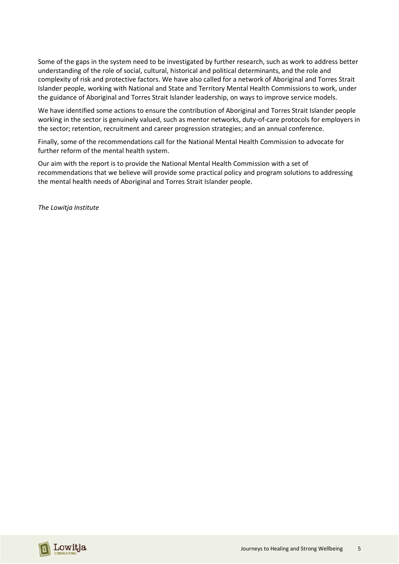Some of the gaps in the system need to be investigated by further research, such as work to address better understanding of the role of social, cultural, historical and political determinants, and the role and complexity of risk and protective factors. We have also called for a network of Aboriginal and Torres Strait Islander people, working with National and State and Territory Mental Health Commissions to work, under the guidance of Aboriginal and Torres Strait Islander leadership, on ways to improve service models.

We have identified some actions to ensure the contribution of Aboriginal and Torres Strait Islander people working in the sector is genuinely valued, such as mentor networks, duty-of-care protocols for employers in the sector; retention, recruitment and career progression strategies; and an annual conference.

Finally, some of the recommendations call for the National Mental Health Commission to advocate for further reform of the mental health system.

Our aim with the report is to provide the National Mental Health Commission with a set of recommendations that we believe will provide some practical policy and program solutions to addressing the mental health needs of Aboriginal and Torres Strait Islander people.

*The Lowitja Institute*

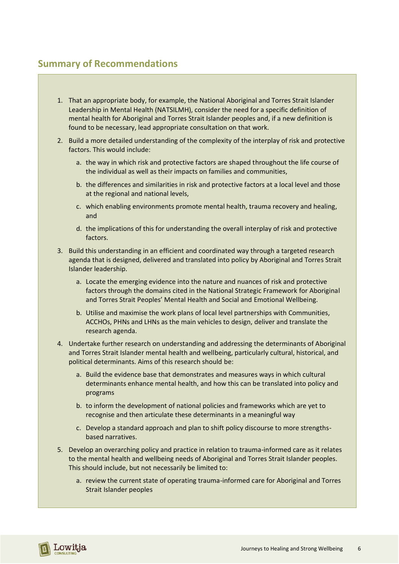# **Summary of Recommendations**

- 1. That an appropriate body, for example, the National Aboriginal and Torres Strait Islander Leadership in Mental Health (NATSILMH), consider the need for a specific definition of mental health for Aboriginal and Torres Strait Islander peoples and, if a new definition is found to be necessary, lead appropriate consultation on that work.
- 2. Build a more detailed understanding of the complexity of the interplay of risk and protective factors. This would include:
	- a. the way in which risk and protective factors are shaped throughout the life course of the individual as well as their impacts on families and communities,
	- b. the differences and similarities in risk and protective factors at a local level and those at the regional and national levels,
	- c. which enabling environments promote mental health, trauma recovery and healing, and
	- d. the implications of this for understanding the overall interplay of risk and protective factors.
- 3. Build this understanding in an efficient and coordinated way through a targeted research agenda that is designed, delivered and translated into policy by Aboriginal and Torres Strait Islander leadership.
	- a. Locate the emerging evidence into the nature and nuances of risk and protective factors through the domains cited in the National Strategic Framework for Aboriginal and Torres Strait Peoples' Mental Health and Social and Emotional Wellbeing.
	- b. Utilise and maximise the work plans of local level partnerships with Communities, ACCHOs, PHNs and LHNs as the main vehicles to design, deliver and translate the research agenda.
- 4. Undertake further research on understanding and addressing the determinants of Aboriginal and Torres Strait Islander mental health and wellbeing, particularly cultural, historical, and political determinants. Aims of this research should be:
	- a. Build the evidence base that demonstrates and measures ways in which cultural determinants enhance mental health, and how this can be translated into policy and programs
	- b. to inform the development of national policies and frameworks which are yet to recognise and then articulate these determinants in a meaningful way
	- c. Develop a standard approach and plan to shift policy discourse to more strengthsbased narratives.
- 5. Develop an overarching policy and practice in relation to trauma-informed care as it relates to the mental health and wellbeing needs of Aboriginal and Torres Strait Islander peoples. This should include, but not necessarily be limited to:
	- a. review the current state of operating trauma-informed care for Aboriginal and Torres Strait Islander peoples

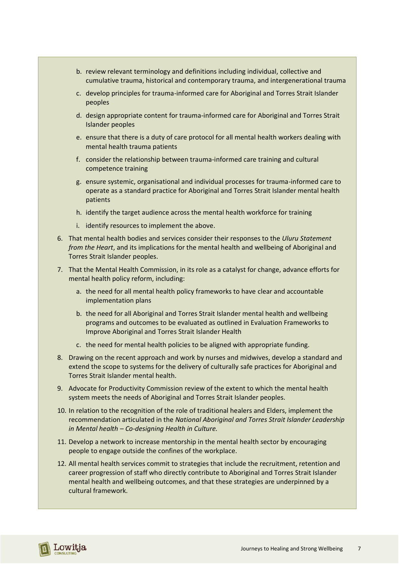- b. review relevant terminology and definitions including individual, collective and cumulative trauma, historical and contemporary trauma, and intergenerational trauma
- c. develop principles for trauma-informed care for Aboriginal and Torres Strait Islander peoples
- d. design appropriate content for trauma-informed care for Aboriginal and Torres Strait Islander peoples
- e. ensure that there is a duty of care protocol for all mental health workers dealing with mental health trauma patients
- f. consider the relationship between trauma-informed care training and cultural competence training
- g. ensure systemic, organisational and individual processes for trauma-informed care to operate as a standard practice for Aboriginal and Torres Strait Islander mental health patients
- h. identify the target audience across the mental health workforce for training
- i. identify resources to implement the above.
- 6. That mental health bodies and services consider their responses to the *Uluru Statement from the Heart*, and its implications for the mental health and wellbeing of Aboriginal and Torres Strait Islander peoples.
- 7. That the Mental Health Commission, in its role as a catalyst for change, advance efforts for mental health policy reform, including:
	- a. the need for all mental health policy frameworks to have clear and accountable implementation plans
	- b. the need for all Aboriginal and Torres Strait Islander mental health and wellbeing programs and outcomes to be evaluated as outlined in Evaluation Frameworks to Improve Aboriginal and Torres Strait Islander Health
	- c. the need for mental health policies to be aligned with appropriate funding.
- 8. Drawing on the recent approach and work by nurses and midwives, develop a standard and extend the scope to systems for the delivery of culturally safe practices for Aboriginal and Torres Strait Islander mental health.
- 9. Advocate for Productivity Commission review of the extent to which the mental health system meets the needs of Aboriginal and Torres Strait Islander peoples.
- 10. In relation to the recognition of the role of traditional healers and Elders, implement the recommendation articulated in the *National Aboriginal and Torres Strait Islander Leadership in Mental health – Co-designing Health in Culture.*
- 11. Develop a network to increase mentorship in the mental health sector by encouraging people to engage outside the confines of the workplace.
- 12. All mental health services commit to strategies that include the recruitment, retention and career progression of staff who directly contribute to Aboriginal and Torres Strait Islander mental health and wellbeing outcomes, and that these strategies are underpinned by a cultural framework.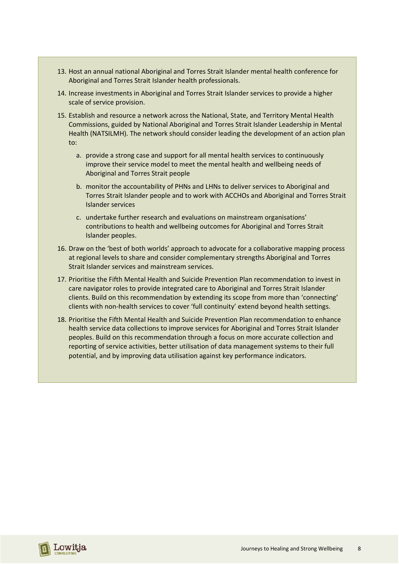- 13. Host an annual national Aboriginal and Torres Strait Islander mental health conference for Aboriginal and Torres Strait Islander health professionals.
- 14. Increase investments in Aboriginal and Torres Strait Islander services to provide a higher scale of service provision.
- 15. Establish and resource a network across the National, State, and Territory Mental Health Commissions, guided by National Aboriginal and Torres Strait Islander Leadership in Mental Health (NATSILMH). The network should consider leading the development of an action plan to:
	- a. provide a strong case and support for all mental health services to continuously improve their service model to meet the mental health and wellbeing needs of Aboriginal and Torres Strait people
	- b. monitor the accountability of PHNs and LHNs to deliver services to Aboriginal and Torres Strait Islander people and to work with ACCHOs and Aboriginal and Torres Strait Islander services
	- c. undertake further research and evaluations on mainstream organisations' contributions to health and wellbeing outcomes for Aboriginal and Torres Strait Islander peoples.
- 16. Draw on the 'best of both worlds' approach to advocate for a collaborative mapping process at regional levels to share and consider complementary strengths Aboriginal and Torres Strait Islander services and mainstream services.
- 17. Prioritise the Fifth Mental Health and Suicide Prevention Plan recommendation to invest in care navigator roles to provide integrated care to Aboriginal and Torres Strait Islander clients. Build on this recommendation by extending its scope from more than 'connecting' clients with non-health services to cover 'full continuity' extend beyond health settings.
- 18. Prioritise the Fifth Mental Health and Suicide Prevention Plan recommendation to enhance health service data collections to improve services for Aboriginal and Torres Strait Islander peoples. Build on this recommendation through a focus on more accurate collection and reporting of service activities, better utilisation of data management systems to their full potential, and by improving data utilisation against key performance indicators.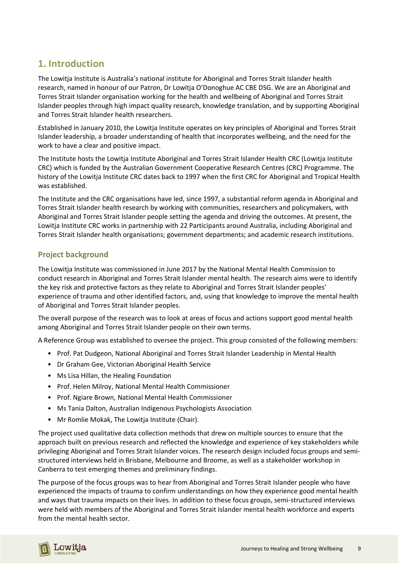# **1. Introduction**

The Lowitja Institute is Australia's national institute for Aboriginal and Torres Strait Islander health research, named in honour of our Patron, Dr Lowitja O'Donoghue AC CBE DSG. We are an Aboriginal and Torres Strait Islander organisation working for the health and wellbeing of Aboriginal and Torres Strait Islander peoples through high impact quality research, knowledge translation, and by supporting Aboriginal and Torres Strait Islander health researchers.

Established in January 2010, the Lowitja Institute operates on key principles of Aboriginal and Torres Strait Islander leadership, a broader understanding of health that incorporates wellbeing, and the need for the work to have a clear and positive impact.

The Institute hosts the Lowitja Institute Aboriginal and Torres Strait Islander Health CRC (Lowitja Institute CRC) which is funded by the Australian Government Cooperative Research Centres (CRC) Programme. The history of the Lowitja Institute CRC dates back to 1997 when the first CRC for Aboriginal and Tropical Health was established.

The Institute and the CRC organisations have led, since 1997, a substantial reform agenda in Aboriginal and Torres Strait Islander health research by working with communities, researchers and policymakers, with Aboriginal and Torres Strait Islander people setting the agenda and driving the outcomes. At present, the Lowitja Institute CRC works in partnership with 22 Participants around Australia, including Aboriginal and Torres Strait Islander health organisations; government departments; and academic research institutions.

## **Project background**

The Lowitja Institute was commissioned in June 2017 by the National Mental Health Commission to conduct research in Aboriginal and Torres Strait Islander mental health. The research aims were to identify the key risk and protective factors as they relate to Aboriginal and Torres Strait Islander peoples' experience of trauma and other identified factors, and, using that knowledge to improve the mental health of Aboriginal and Torres Strait Islander peoples.

The overall purpose of the research was to look at areas of focus and actions support good mental health among Aboriginal and Torres Strait Islander people on their own terms.

A Reference Group was established to oversee the project. This group consisted of the following members:

- Prof. Pat Dudgeon, National Aboriginal and Torres Strait Islander Leadership in Mental Health
- Dr Graham Gee, Victorian Aboriginal Health Service
- Ms Lisa Hillan, the Healing Foundation
- Prof. Helen Milroy, National Mental Health Commissioner
- Prof. Ngiare Brown, National Mental Health Commissioner
- Ms Tania Dalton, Australian Indigenous Psychologists Association
- Mr Romlie Mokak, The Lowitja Institute (Chair).

The project used qualitative data collection methods that drew on multiple sources to ensure that the approach built on previous research and reflected the knowledge and experience of key stakeholders while privileging Aboriginal and Torres Strait Islander voices. The research design included focus groups and semistructured interviews held in Brisbane, Melbourne and Broome, as well as a stakeholder workshop in Canberra to test emerging themes and preliminary findings.

The purpose of the focus groups was to hear from Aboriginal and Torres Strait Islander people who have experienced the impacts of trauma to confirm understandings on how they experience good mental health and ways that trauma impacts on their lives. In addition to these focus groups, semi-structured interviews were held with members of the Aboriginal and Torres Strait Islander mental health workforce and experts from the mental health sector.

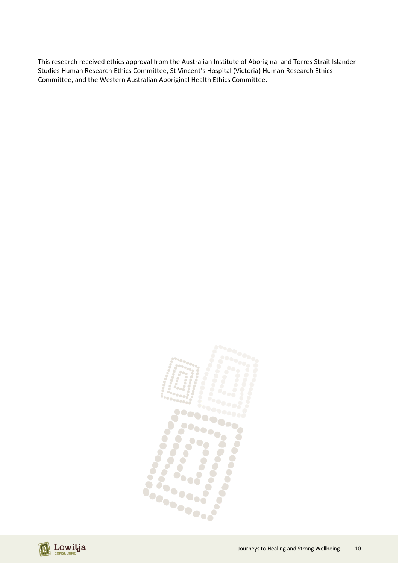This research received ethics approval from the Australian Institute of Aboriginal and Torres Strait Islander Studies Human Research Ethics Committee, St Vincent's Hospital (Victoria) Human Research Ethics Committee, and the Western Australian Aboriginal Health Ethics Committee.



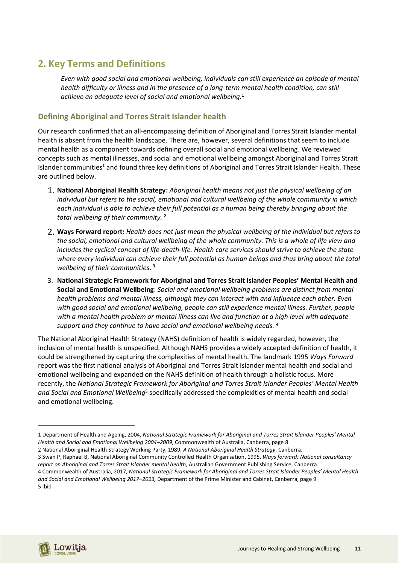# **2. Key Terms and Definitions**

*Even with good social and emotional wellbeing, individuals can still experience an episode of mental health difficulty or illness and in the presence of a long-term mental health condition, can still achieve an adequate level of social and emotional wellbeing.* **1**

## **Defining Aboriginal and Torres Strait Islander health**

Our research confirmed that an all-encompassing definition of Aboriginal and Torres Strait Islander mental health is absent from the health landscape. There are, however, several definitions that seem to include mental health as a component towards defining overall social and emotional wellbeing. We reviewed concepts such as mental illnesses, and social and emotional wellbeing amongst Aboriginal and Torres Strait Islander communities<sup>1</sup> and found three key definitions of Aboriginal and Torres Strait Islander Health. These are outlined below.

- 1. **National Aboriginal Health Strategy:** *Aboriginal health means not just the physical wellbeing of an individual but refers to the social, emotional and cultural wellbeing of the whole community in which each individual is able to achieve their full potential as a human being thereby bringing about the total wellbeing of their community.* **2**
- 2. **Ways Forward report:** *Health does not just mean the physical wellbeing of the individual but refers to the social, emotional and cultural wellbeing of the whole community. This is a whole of life view and includes the cyclical concept of life-death-life. Health care services should strive to achieve the state where every individual can achieve their full potential as human beings and thus bring about the total wellbeing of their communities*. **3**
- 3. **National Strategic Framework for Aboriginal and Torres Strait Islander Peoples' Mental Health and Social and Emotional Wellbeing**: *Social and emotional wellbeing problems are distinct from mental health problems and mental illness, although they can interact with and influence each other. Even with good social and emotional wellbeing, people can still experience mental illness. Further, people with a mental health problem or mental illness can live and function at a high level with adequate support and they continue to have social and emotional wellbeing needs. <sup>4</sup>*

The National Aboriginal Health Strategy (NAHS) definition of health is widely regarded, however, the inclusion of mental health is unspecified. Although NAHS provides a widely accepted definition of health, it could be strengthened by capturing the complexities of mental health. The landmark 1995 *Ways Forward* report was the first national analysis of Aboriginal and Torres Strait Islander mental health and social and emotional wellbeing and expanded on the NAHS definition of health through a holistic focus. More recently, the *National Strategic Framework for Aboriginal and Torres Strait Islander Peoples' Mental Health*  and Social and Emotional Wellbeing<sup>5</sup> specifically addressed the complexities of mental health and social and emotional wellbeing.



<sup>1</sup> Department of Health and Ageing, 2004, *National Strategic Framework for Aboriginal and Torres Strait Islander Peoples' Mental Health and Social and Emotional Wellbeing 2004–2009*, Commonwealth of Australia, Canberra, page 8

<sup>2</sup> National Aboriginal Health Strategy Working Party, 1989, *A National Aboriginal Health Strategy*, Canberra.

<sup>3</sup> Swan P, Raphael B, National Aboriginal Community Controlled Health Organisation, 1995, *Ways forward: National consultancy report on Aboriginal and Torres Strait Islander mental health*, Australian Government Publishing Service, Canberra 4 Commonwealth of Australia, 2017, *National Strategic Framework for Aboriginal and Torres Strait Islander Peoples' Mental Health and Social and Emotional Wellbeing 2017–2023,* Department of the Prime Minister and Cabinet, Canberra, page 9

<sup>5</sup> Ibid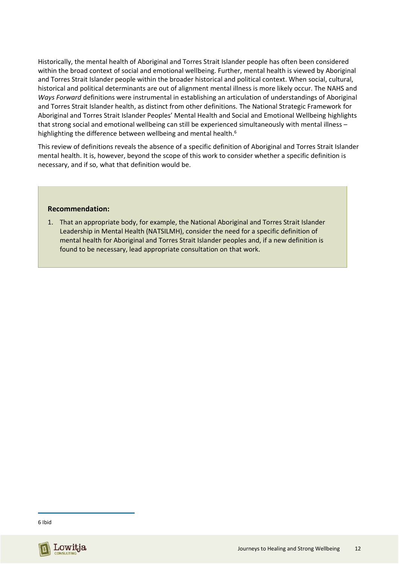Historically, the mental health of Aboriginal and Torres Strait Islander people has often been considered within the broad context of social and emotional wellbeing. Further, mental health is viewed by Aboriginal and Torres Strait Islander people within the broader historical and political context. When social, cultural, historical and political determinants are out of alignment mental illness is more likely occur. The NAHS and *Ways Forward* definitions were instrumental in establishing an articulation of understandings of Aboriginal and Torres Strait Islander health, as distinct from other definitions. The National Strategic Framework for Aboriginal and Torres Strait Islander Peoples' Mental Health and Social and Emotional Wellbeing highlights that strong social and emotional wellbeing can still be experienced simultaneously with mental illness – highlighting the difference between wellbeing and mental health.<sup>6</sup>

This review of definitions reveals the absence of a specific definition of Aboriginal and Torres Strait Islander mental health. It is, however, beyond the scope of this work to consider whether a specific definition is necessary, and if so, what that definition would be.

#### **Recommendation:**

1. That an appropriate body, for example, the National Aboriginal and Torres Strait Islander Leadership in Mental Health (NATSILMH), consider the need for a specific definition of mental health for Aboriginal and Torres Strait Islander peoples and, if a new definition is found to be necessary, lead appropriate consultation on that work.

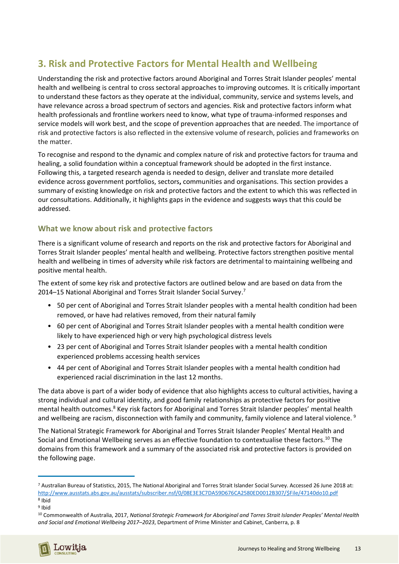# **3. Risk and Protective Factors for Mental Health and Wellbeing**

Understanding the risk and protective factors around Aboriginal and Torres Strait Islander peoples' mental health and wellbeing is central to cross sectoral approaches to improving outcomes. It is critically important to understand these factors as they operate at the individual, community, service and systems levels, and have relevance across a broad spectrum of sectors and agencies. Risk and protective factors inform what health professionals and frontline workers need to know, what type of trauma-informed responses and service models will work best, and the scope of prevention approaches that are needed. The importance of risk and protective factors is also reflected in the extensive volume of research, policies and frameworks on the matter.

To recognise and respond to the dynamic and complex nature of risk and protective factors for trauma and healing, a solid foundation within a conceptual framework should be adopted in the first instance. Following this, a targeted research agenda is needed to design, deliver and translate more detailed evidence across government portfolios, sectors**,** communities and organisations. This section provides a summary of existing knowledge on risk and protective factors and the extent to which this was reflected in our consultations. Additionally, it highlights gaps in the evidence and suggests ways that this could be addressed.

## **What we know about risk and protective factors**

There is a significant volume of research and reports on the risk and protective factors for Aboriginal and Torres Strait Islander peoples' mental health and wellbeing. Protective factors strengthen positive mental health and wellbeing in times of adversity while risk factors are detrimental to maintaining wellbeing and positive mental health.

The extent of some key risk and protective factors are outlined below and are based on data from the 2014-15 National Aboriginal and Torres Strait Islander Social Survey.<sup>7</sup>

- 50 per cent of Aboriginal and Torres Strait Islander peoples with a mental health condition had been removed, or have had relatives removed, from their natural family
- 60 per cent of Aboriginal and Torres Strait Islander peoples with a mental health condition were likely to have experienced high or very high psychological distress levels
- 23 per cent of Aboriginal and Torres Strait Islander peoples with a mental health condition experienced problems accessing health services
- 44 per cent of Aboriginal and Torres Strait Islander peoples with a mental health condition had experienced racial discrimination in the last 12 months.

The data above is part of a wider body of evidence that also highlights access to cultural activities, having a strong individual and cultural identity, and good family relationships as protective factors for positive mental health outcomes.<sup>8</sup> Key risk factors for Aboriginal and Torres Strait Islander peoples' mental health and wellbeing are racism, disconnection with family and community, family violence and lateral violence. <sup>9</sup>

The National Strategic Framework for Aboriginal and Torres Strait Islander Peoples' Mental Health and Social and Emotional Wellbeing serves as an effective foundation to contextualise these factors.<sup>10</sup> The domains from this framework and a summary of the associated risk and protective factors is provided on the following page.

<sup>10</sup> Commonwealth of Australia, 2017, *National Strategic Framework for Aboriginal and Torres Strait Islander Peoples' Mental Health and Social and Emotional Wellbeing 2017–2023*, Department of Prime Minister and Cabinet, Canberra, p. 8



<sup>7</sup> Australian Bureau of Statistics, 2015, The National Aboriginal and Torres Strait Islander Social Survey. Accessed 26 June 2018 at: [http://www.ausstats.abs.gov.au/ausstats/subscriber.nsf/0/08E3E3C7DA59D676CA2580ED0012B307/\\$File/47140do10.pdf](http://www.ausstats.abs.gov.au/ausstats/subscriber.nsf/0/08E3E3C7DA59D676CA2580ED0012B307/$File/47140do10.pdf) 8 Ibid

<sup>&</sup>lt;sup>9</sup> Ibid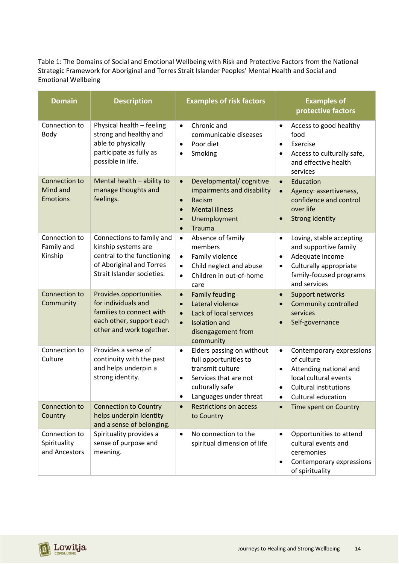Table 1: The Domains of Social and Emotional Wellbeing with Risk and Protective Factors from the National Strategic Framework for Aboriginal and Torres Strait Islander Peoples' Mental Health and Social and Emotional Wellbeing

| <b>Domain</b>                                  | <b>Description</b>                                                                                                                       | <b>Examples of risk factors</b>                                                                                                                                                      | <b>Examples of</b><br>protective factors                                                                                                                                                                   |
|------------------------------------------------|------------------------------------------------------------------------------------------------------------------------------------------|--------------------------------------------------------------------------------------------------------------------------------------------------------------------------------------|------------------------------------------------------------------------------------------------------------------------------------------------------------------------------------------------------------|
| Connection to<br>Body                          | Physical health - feeling<br>strong and healthy and<br>able to physically<br>participate as fully as<br>possible in life.                | Chronic and<br>$\bullet$<br>communicable diseases<br>Poor diet<br>$\bullet$<br>Smoking<br>$\bullet$                                                                                  | Access to good healthy<br>$\bullet$<br>food<br>Exercise<br>$\bullet$<br>Access to culturally safe,<br>$\bullet$<br>and effective health<br>services                                                        |
| Connection to<br>Mind and<br>Emotions          | Mental health - ability to<br>manage thoughts and<br>feelings.                                                                           | Developmental/ cognitive<br>$\bullet$<br>impairments and disability<br>Racism<br>$\bullet$<br><b>Mental illness</b><br>$\bullet$<br>Unemployment<br>$\bullet$<br>Trauma<br>$\bullet$ | Education<br>$\bullet$<br>Agency: assertiveness,<br>$\bullet$<br>confidence and control<br>over life<br><b>Strong identity</b><br>$\bullet$                                                                |
| Connection to<br>Family and<br>Kinship         | Connections to family and<br>kinship systems are<br>central to the functioning<br>of Aboriginal and Torres<br>Strait Islander societies. | Absence of family<br>$\bullet$<br>members<br>Family violence<br>$\bullet$<br>Child neglect and abuse<br>$\bullet$<br>Children in out-of-home<br>$\bullet$<br>care                    | Loving, stable accepting<br>$\bullet$<br>and supportive family<br>Adequate income<br>$\bullet$<br>Culturally appropriate<br>$\bullet$<br>family-focused programs<br>and services                           |
| Connection to<br>Community                     | Provides opportunities<br>for individuals and<br>families to connect with<br>each other, support each<br>other and work together.        | <b>Family feuding</b><br>$\bullet$<br>Lateral violence<br>$\bullet$<br>Lack of local services<br>$\bullet$<br><b>Isolation and</b><br>$\bullet$<br>disengagement from<br>community   | Support networks<br>$\bullet$<br><b>Community controlled</b><br>$\bullet$<br>services<br>Self-governance<br>$\bullet$                                                                                      |
| Connection to<br>Culture                       | Provides a sense of<br>continuity with the past<br>and helps underpin a<br>strong identity.                                              | Elders passing on without<br>$\bullet$<br>full opportunities to<br>transmit culture<br>Services that are not<br>$\bullet$<br>culturally safe<br>Languages under threat<br>$\bullet$  | Contemporary expressions<br>$\bullet$<br>of culture<br>Attending national and<br>$\bullet$<br>local cultural events<br><b>Cultural institutions</b><br>$\bullet$<br><b>Cultural education</b><br>$\bullet$ |
| Connection to<br>Country                       | <b>Connection to Country</b><br>helps underpin identity<br>and a sense of belonging.                                                     | <b>Restrictions on access</b><br>to Country                                                                                                                                          | Time spent on Country<br>$\bullet$                                                                                                                                                                         |
| Connection to<br>Spirituality<br>and Ancestors | Spirituality provides a<br>sense of purpose and<br>meaning.                                                                              | No connection to the<br>$\bullet$<br>spiritual dimension of life                                                                                                                     | Opportunities to attend<br>$\bullet$<br>cultural events and<br>ceremonies<br>Contemporary expressions<br>٠<br>of spirituality                                                                              |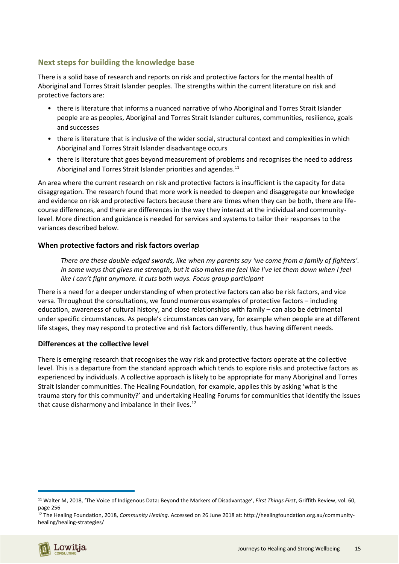## **Next steps for building the knowledge base**

There is a solid base of research and reports on risk and protective factors for the mental health of Aboriginal and Torres Strait Islander peoples. The strengths within the current literature on risk and protective factors are:

- there is literature that informs a nuanced narrative of who Aboriginal and Torres Strait Islander people are as peoples, Aboriginal and Torres Strait Islander cultures, communities, resilience, goals and successes
- there is literature that is inclusive of the wider social, structural context and complexities in which Aboriginal and Torres Strait Islander disadvantage occurs
- there is literature that goes beyond measurement of problems and recognises the need to address Aboriginal and Torres Strait Islander priorities and agendas.<sup>11</sup>

An area where the current research on risk and protective factors is insufficient is the capacity for data disaggregation. The research found that more work is needed to deepen and disaggregate our knowledge and evidence on risk and protective factors because there are times when they can be both, there are lifecourse differences, and there are differences in the way they interact at the individual and communitylevel. More direction and guidance is needed for services and systems to tailor their responses to the variances described below.

#### **When protective factors and risk factors overlap**

*There are these double-edged swords, like when my parents say 'we come from a family of fighters'. In some ways that gives me strength, but it also makes me feel like I've let them down when I feel like I can't fight anymore. It cuts both ways. Focus group participant*

There is a need for a deeper understanding of when protective factors can also be risk factors, and vice versa. Throughout the consultations, we found numerous examples of protective factors – including education, awareness of cultural history, and close relationships with family – can also be detrimental under specific circumstances. As people's circumstances can vary, for example when people are at different life stages, they may respond to protective and risk factors differently, thus having different needs.

#### **Differences at the collective level**

There is emerging research that recognises the way risk and protective factors operate at the collective level. This is a departure from the standard approach which tends to explore risks and protective factors as experienced by individuals. A collective approach is likely to be appropriate for many Aboriginal and Torres Strait Islander communities. The Healing Foundation, for example, applies this by asking 'what is the trauma story for this community?' and undertaking Healing Forums for communities that identify the issues that cause disharmony and imbalance in their lives.<sup>12</sup>

<sup>12</sup> The Healing Foundation, 2018, *Community Healing.* Accessed on 26 June 2018 at: http://healingfoundation.org.au/communityhealing/healing-strategies/



<sup>11</sup> Walter M, 2018, 'The Voice of Indigenous Data: Beyond the Markers of Disadvantage', *First Things First*, Griffith Review, vol. 60, page 256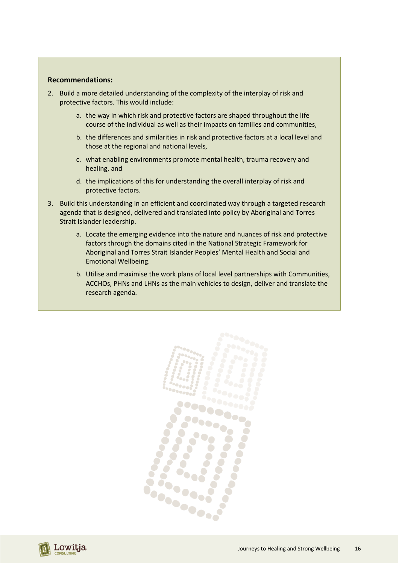#### **Recommendations:**

- 2. Build a more detailed understanding of the complexity of the interplay of risk and protective factors. This would include:
	- a. the way in which risk and protective factors are shaped throughout the life course of the individual as well as their impacts on families and communities,
	- b. the differences and similarities in risk and protective factors at a local level and those at the regional and national levels,
	- c. what enabling environments promote mental health, trauma recovery and healing, and
	- d. the implications of this for understanding the overall interplay of risk and protective factors.
- 3. Build this understanding in an efficient and coordinated way through a targeted research agenda that is designed, delivered and translated into policy by Aboriginal and Torres Strait Islander leadership.
	- a. Locate the emerging evidence into the nature and nuances of risk and protective factors through the domains cited in the National Strategic Framework for Aboriginal and Torres Strait Islander Peoples' Mental Health and Social and Emotional Wellbeing.
	- b. Utilise and maximise the work plans of local level partnerships with Communities, ACCHOs, PHNs and LHNs as the main vehicles to design, deliver and translate the research agenda.



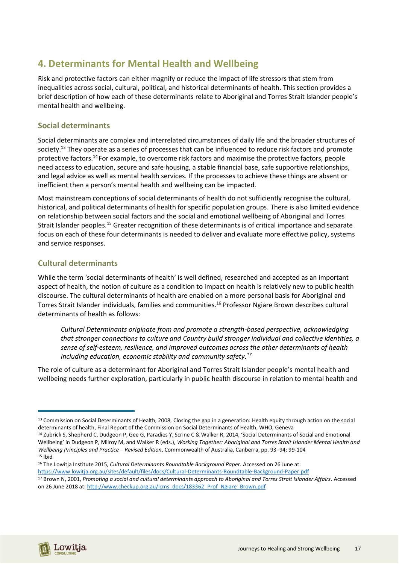# **4. Determinants for Mental Health and Wellbeing**

Risk and protective factors can either magnify or reduce the impact of life stressors that stem from inequalities across social, cultural, political, and historical determinants of health. This section provides a brief description of how each of these determinants relate to Aboriginal and Torres Strait Islander people's mental health and wellbeing.

## **Social determinants**

Social determinants are complex and interrelated circumstances of daily life and the broader structures of society.<sup>13</sup> They operate as a series of processes that can be influenced to reduce risk factors and promote protective factors.<sup>14</sup> For example, to overcome risk factors and maximise the protective factors, people need access to education, secure and safe housing, a stable financial base, safe supportive relationships, and legal advice as well as mental health services. If the processes to achieve these things are absent or inefficient then a person's mental health and wellbeing can be impacted.

Most mainstream conceptions of social determinants of health do not sufficiently recognise the cultural, historical, and political determinants of health for specific population groups. There is also limited evidence on relationship between social factors and the social and emotional wellbeing of Aboriginal and Torres Strait Islander peoples.<sup>15</sup> Greater recognition of these determinants is of critical importance and separate focus on each of these four determinants is needed to deliver and evaluate more effective policy, systems and service responses.

## **Cultural determinants**

While the term 'social determinants of health' is well defined, researched and accepted as an important aspect of health, the notion of culture as a condition to impact on health is relatively new to public health discourse. The cultural determinants of health are enabled on a more personal basis for Aboriginal and Torres Strait Islander individuals, families and communities. <sup>16</sup> Professor Ngiare Brown describes cultural determinants of health as follows:

*Cultural Determinants originate from and promote a strength-based perspective, acknowledging that stronger connections to culture and Country build stronger individual and collective identities, a sense of self-esteem, resilience, and improved outcomes across the other determinants of health including education, economic stability and community safety. 17*

The role of culture as a determinant for Aboriginal and Torres Strait Islander people's mental health and wellbeing needs further exploration, particularly in public health discourse in relation to mental health and



<sup>&</sup>lt;sup>13</sup> Commission on Social Determinants of Health, 2008, Closing the gap in a generation: Health equity through action on the social determinants of health, Final Report of the Commission on Social Determinants of Health, WHO, Geneva

<sup>&</sup>lt;sup>14</sup> Zubrick S, Shepherd C, Dudgeon P, Gee G, Paradies Y, Scrine C & Walker R, 2014, 'Social Determinants of Social and Emotional Wellbeing' in Dudgeon P, Milroy M, and Walker R (eds.), *Working Together: Aboriginal and Torres Strait Islander Mental Health and Wellbeing Principles and Practice – Revised Edition*, Commonwealth of Australia, Canberra, pp. 93–94; 99-104 <sup>15</sup> Ibid

<sup>16</sup> The Lowitja Institute 2015, *Cultural Determinants Roundtable Background Paper.* Accessed on 26 June at:

<https://www.lowitja.org.au/sites/default/files/docs/Cultural-Determinants-Roundtable-Background-Paper.pdf>

<sup>17</sup> Brown N, 2001, *Promoting a social and cultural determinants approach to Aboriginal and Torres Strait Islander Affairs*. Accessed on 26 June 2018 at: [http://www.checkup.org.au/icms\\_docs/183362\\_Prof\\_Ngiare\\_Brown.pdf](http://www.checkup.org.au/icms_docs/183362_Prof_Ngiare_Brown.pdf)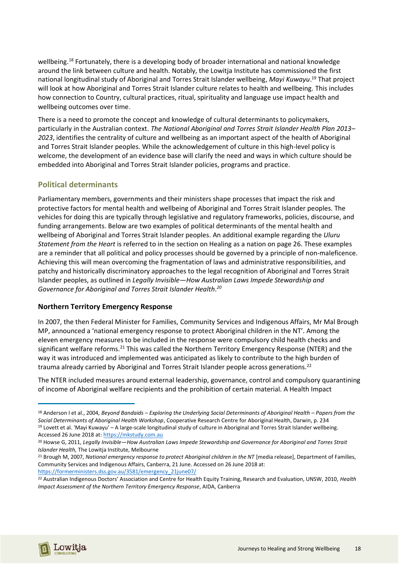wellbeing.<sup>18</sup> Fortunately, there is a developing body of broader international and national knowledge around the link between culture and health. Notably, the Lowitja Institute has commissioned the first national longitudinal study of Aboriginal and Torres Strait Islander wellbeing, *Mayi Kuwayu*. <sup>19</sup> That project will look at how Aboriginal and Torres Strait Islander culture relates to health and wellbeing. This includes how connection to Country, cultural practices, ritual, spirituality and language use impact health and wellbeing outcomes over time.

There is a need to promote the concept and knowledge of cultural determinants to policymakers, particularly in the Australian context. *The National Aboriginal and Torres Strait Islander Health Plan 2013– 2023*, identifies the centrality of culture and wellbeing as an important aspect of the health of Aboriginal and Torres Strait Islander peoples. While the acknowledgement of culture in this high-level policy is welcome, the development of an evidence base will clarify the need and ways in which culture should be embedded into Aboriginal and Torres Strait Islander policies, programs and practice.

#### **Political determinants**

Parliamentary members, governments and their ministers shape processes that impact the risk and protective factors for mental health and wellbeing of Aboriginal and Torres Strait Islander peoples. The vehicles for doing this are typically through legislative and regulatory frameworks, policies, discourse, and funding arrangements. Below are two examples of political determinants of the mental health and wellbeing of Aboriginal and Torres Strait Islander peoples. An additional example regarding the *Uluru Statement from the Heart* is referred to in the section on [Healing as a nation](#page-25-0) on page 26. These examples are a reminder that all political and policy processes should be governed by a principle of non-maleficence. Achieving this will mean overcoming the fragmentation of laws and administrative responsibilities, and patchy and historically discriminatory approaches to the legal recognition of Aboriginal and Torres Strait Islander peoples, as outlined in *Legally Invisible—How Australian Laws Impede Stewardship and Governance for Aboriginal and Torres Strait Islander Health. 20*

#### **Northern Territory Emergency Response**

In 2007, the then Federal Minister for Families, Community Services and Indigenous Affairs, Mr Mal Brough MP, announced a 'national emergency response to protect Aboriginal children in the NT'. Among the eleven emergency measures to be included in the response were compulsory child health checks and significant welfare reforms.<sup>21</sup> This was called the Northern Territory Emergency Response (NTER) and the way it was introduced and implemented was anticipated as likely to contribute to the high burden of trauma already carried by Aboriginal and Torres Strait Islander people across generations.<sup>22</sup>

The NTER included measures around external leadership, governance, control and compulsory quarantining of income of Aboriginal welfare recipients and the prohibition of certain material. A Health Impact



<sup>18</sup> Anderson I et al., 2004, *Beyond Bandaids – Exploring the Underlying Social Determinants of Aboriginal Health – Papers from the Social Determinants of Aboriginal Health Workshop*, Cooperative Research Centre for Aboriginal Health, Darwin, p. 234 <sup>19</sup> Lovett et al. 'Mayi Kuwayu' – A large-scale longitudinal study of culture in Aboriginal and Torres Strait Islander wellbeing. Accessed 26 June 2018 at[: https://mkstudy.com.au](https://mkstudy.com.au/)

<sup>20</sup> Howse G, 2011, *Legally Invisible—How Australian Laws Impede Stewardship and Governance for Aboriginal and Torres Strait Islander Health,* The Lowitja Institute, Melbourne

<sup>&</sup>lt;sup>21</sup> Brough M, 2007, *National emergency response to protect Aboriginal children in the NT* [media release], Department of Families, Community Services and Indigenous Affairs, Canberra, 21 June. Accessed on 26 June 2018 at: [https://formerministers.dss.gov.au/3581/emergency\\_21june07/](https://formerministers.dss.gov.au/3581/emergency_21june07/)

<sup>22</sup> Australian Indigenous Doctors' Association and Centre for Health Equity Training, Research and Evaluation, UNSW, 2010, *Health Impact Assessment of the Northern Territory Emergency Response*, AIDA, Canberra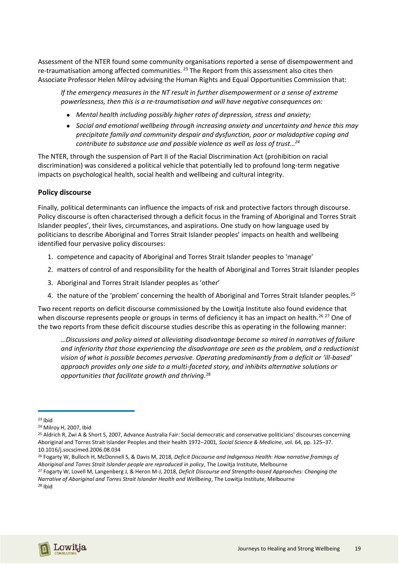Assessment of the NTER found some community organisations reported a sense of disempowerment and re-traumatisation among affected communities.<sup>23</sup> The Report from this assessment also cites then Associate Professor Helen Milroy advising the Human Rights and Equal Opportunities Commission that:

*If the emergency measures in the NT result in further disempowerment or a sense of extreme powerlessness, then this is a re-traumatisation and will have negative consequences on:* 

- *Mental health including possibly higher rates of depression, stress and anxiety;*
- *Social and emotional wellbeing through increasing anxiety and uncertainty and hence this may precipitate family and community despair and dysfunction, poor or maladaptive coping and contribute to substance use and possible violence as well as loss of trust…<sup>24</sup>*

The NTER, through the suspension of Part II of the Racial Discrimination Act (prohibition on racial discrimination) was considered a political vehicle that potentially led to profound long-term negative impacts on psychological health, social health and wellbeing and cultural integrity.

#### **Policy discourse**

Finally, political determinants can influence the impacts of risk and protective factors through discourse. Policy discourse is often characterised through a deficit focus in the framing of Aboriginal and Torres Strait Islander peoples', their lives, circumstances, and aspirations. One study on how language used by politicians to describe Aboriginal and Torres Strait Islander peoples' impacts on health and wellbeing identified four pervasive policy discourses:

- 1. competence and capacity of Aboriginal and Torres Strait Islander peoples to 'manage'
- 2. matters of control of and responsibility for the health of Aboriginal and Torres Strait Islander peoples
- 3. Aboriginal and Torres Strait Islander peoples as 'other'
- 4. the nature of the 'problem' concerning the health of Aboriginal and Torres Strait Islander peoples.<sup>25</sup>

Two recent reports on deficit discourse commissioned by the Lowitja Institute also found evidence that when discourse represents people or groups in terms of deficiency it has an impact on health.<sup>26 27</sup> One of the two reports from these deficit discourse studies describe this as operating in the following manner:

*…Discussions and policy aimed at alleviating disadvantage become so mired in narratives of failure and inferiority that those experiencing the disadvantage are seen as the problem, and a reductionist vision of what is possible becomes pervasive. Operating predominantly from a deficit or 'ill-based' approach provides only one side to a multi-faceted story, and inhibits alternative solutions or opportunities that facilitate growth and thriving.*<sup>28</sup>



<sup>23</sup> Ibid

<sup>24</sup> Milroy H, 2007, Ibid

<sup>&</sup>lt;sup>25</sup> Aldrich R, Zwi A & Short S, 2007, Advance Australia Fair: Social democratic and conservative politicians' discourses concerning Aboriginal and Torres Strait Islander Peoples and their health 1972–2001*, Social Science & Medicine*, vol. 64, pp. 125–37. 10.1016/j.socscimed.2006.08.034

<sup>26</sup> Fogarty W, Bulloch H, McDonnell S, & Davis M, 2018, *Deficit Discourse and Indigenous Health: How narrative framings of Aboriginal and Torres Strait Islander people are reproduced in policy*, The Lowitja Institute, Melbourne

<sup>27</sup> Fogarty W, Lovell M, Langenberg J, & Heron M-J, 2018, *Deficit Discourse and Strengths-based Approaches: Changing the Narrative of Aboriginal and Torres Strait Islander Health and Wellbeing*, The Lowitja Institute, Melbourne

<sup>28</sup> Ibid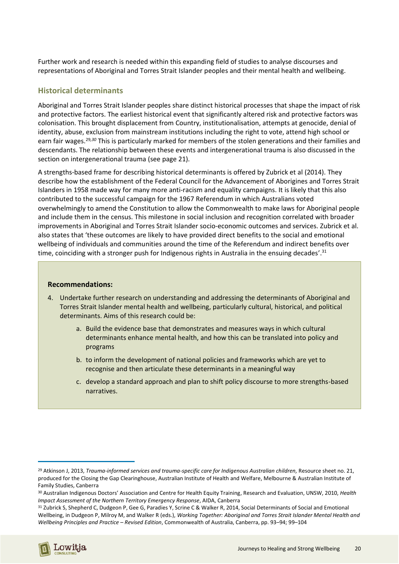Further work and research is needed within this expanding field of studies to analyse discourses and representations of Aboriginal and Torres Strait Islander peoples and their mental health and wellbeing.

#### **Historical determinants**

Aboriginal and Torres Strait Islander peoples share distinct historical processes that shape the impact of risk and protective factors. The earliest historical event that significantly altered risk and protective factors was colonisation. This brought displacement from Country, institutionalisation, attempts at genocide, denial of identity, abuse, exclusion from mainstream institutions including the right to vote, attend high school or earn fair wages. <sup>29</sup>*,30* This is particularly marked for members of the stolen generations and their families and descendants. The relationship between these events and intergenerational trauma is also discussed in the section on intergenerational trauma (see page 21).

A strengths-based frame for describing historical determinants is offered by Zubrick et al (2014). They describe how the establishment of the Federal Council for the Advancement of Aborigines and Torres Strait Islanders in 1958 made way for many more anti-racism and equality campaigns. It is likely that this also contributed to the successful campaign for the 1967 Referendum in which Australians voted overwhelmingly to amend the Constitution to allow the Commonwealth to make laws for Aboriginal people and include them in the census. This milestone in social inclusion and recognition correlated with broader improvements in Aboriginal and Torres Strait Islander socio-economic outcomes and services. Zubrick et al. also states that 'these outcomes are likely to have provided direct benefits to the social and emotional wellbeing of individuals and communities around the time of the Referendum and indirect benefits over time, coinciding with a stronger push for Indigenous rights in Australia in the ensuing decades'.<sup>31</sup>

#### **Recommendations:**

- 4. Undertake further research on understanding and addressing the determinants of Aboriginal and Torres Strait Islander mental health and wellbeing, particularly cultural, historical, and political determinants. Aims of this research could be:
	- a. Build the evidence base that demonstrates and measures ways in which cultural determinants enhance mental health, and how this can be translated into policy and programs
	- b. to inform the development of national policies and frameworks which are yet to recognise and then articulate these determinants in a meaningful way
	- c. develop a standard approach and plan to shift policy discourse to more strengths-based narratives.

<sup>31</sup> Zubrick S, Shepherd C, Dudgeon P, Gee G, Paradies Y, Scrine C & Walker R, 2014, Social Determinants of Social and Emotional Wellbeing, in Dudgeon P, Milroy M, and Walker R (eds.), *Working Together: Aboriginal and Torres Strait Islander Mental Health and Wellbeing Principles and Practice – Revised Edition*, Commonwealth of Australia, Canberra, pp. 93–94; 99–104



<sup>29</sup> Atkinson J, 2013, *Trauma-informed services and trauma-specific care for Indigenous Australian children,* Resource sheet no. 21, produced for the Closing the Gap Clearinghouse, Australian Institute of Health and Welfare, Melbourne & Australian Institute of Family Studies, Canberra

<sup>30</sup> Australian Indigenous Doctors' Association and Centre for Health Equity Training, Research and Evaluation, UNSW, 2010, *Health Impact Assessment of the Northern Territory Emergency Response*, AIDA, Canberra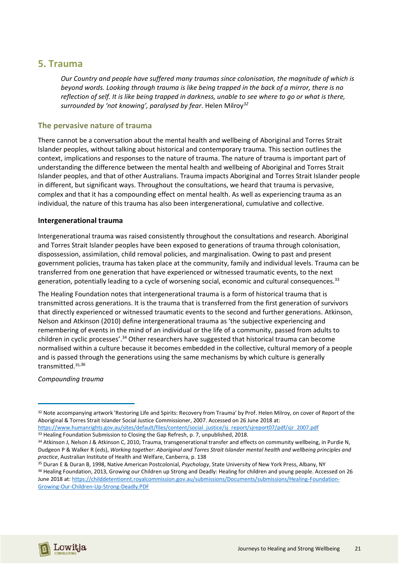## **5. Trauma**

*Our Country and people have suffered many traumas since colonisation, the magnitude of which is beyond words. Looking through trauma is like being trapped in the back of a mirror, there is no reflection of self. It is like being trapped in darkness, unable to see where to go or what is there, surrounded by 'not knowing', paralysed by fear.* Helen Milroy*<sup>32</sup>*

#### **The pervasive nature of trauma**

There cannot be a conversation about the mental health and wellbeing of Aboriginal and Torres Strait Islander peoples, without talking about historical and contemporary trauma. This section outlines the context, implications and responses to the nature of trauma. The nature of trauma is important part of understanding the difference between the mental health and wellbeing of Aboriginal and Torres Strait Islander peoples, and that of other Australians. Trauma impacts Aboriginal and Torres Strait Islander people in different, but significant ways. Throughout the consultations, we heard that trauma is pervasive, complex and that it has a compounding effect on mental health. As well as experiencing trauma as an individual, the nature of this trauma has also been intergenerational, cumulative and collective.

#### **Intergenerational trauma**

Intergenerational trauma was raised consistently throughout the consultations and research. Aboriginal and Torres Strait Islander peoples have been exposed to generations of trauma through colonisation, dispossession, assimilation, child removal policies, and marginalisation. Owing to past and present government policies, trauma has taken place at the community, family and individual levels. Trauma can be transferred from one generation that have experienced or witnessed traumatic events, to the next generation, potentially leading to a cycle of worsening social, economic and cultural consequences.<sup>33</sup>

The Healing Foundation notes that intergenerational trauma is a form of historical trauma that is transmitted across generations. It is the trauma that is transferred from the first generation of survivors that directly experienced or witnessed traumatic events to the second and further generations. Atkinson, Nelson and Atkinson (2010) define intergenerational trauma as 'the subjective experiencing and remembering of events in the mind of an individual or the life of a community, passed from adults to children in cyclic processes'.<sup>34</sup> Other researchers have suggested that historical trauma can become normalised within a culture because it becomes embedded in the collective, cultural memory of a people and is passed through the generations using the same mechanisms by which culture is generally transmitted. 35,36

#### *Compounding trauma*

33 Healing Foundation Submission to Closing the Gap Refresh, p. 7, unpublished, 2018.

<sup>35</sup> Duran E & Duran B, 1998, Native American Postcolonial, *Psychology*, State University of New York Press, Albany, NY 36 Healing Foundation, 2013, Growing our Children up Strong and Deadly: Healing for children and young people. Accessed on 26 June 2018 at[: https://childdetentionnt.royalcommission.gov.au/submissions/Documents/submissions/Healing-Foundation-](https://childdetentionnt.royalcommission.gov.au/submissions/Documents/submissions/Healing-Foundation-Growing-Our-Children-Up-Strong-Deadly.PDF)[Growing-Our-Children-Up-Strong-Deadly.PDF](https://childdetentionnt.royalcommission.gov.au/submissions/Documents/submissions/Healing-Foundation-Growing-Our-Children-Up-Strong-Deadly.PDF)



<sup>32</sup> Note accompanying artwork 'Restoring Life and Spirits: Recovery from Trauma' by Prof. Helen Milroy, on cover of Report of the Aboriginal & Torres Strait Islander Social Justice Commissioner, 2007. Accessed on 26 June 2018 at: [https://www.humanrights.gov.au/sites/default/files/content/social\\_justice/sj\\_report/sjreport07/pdf/sjr\\_2007.pdf](https://www.humanrights.gov.au/sites/default/files/content/social_justice/sj_report/sjreport07/pdf/sjr_2007.pdf)

<sup>34</sup> Atkinson J, Nelson J & Atkinson C, 2010, Trauma, transgenerational transfer and effects on community wellbeing, in Purdie N, Dudgeon P & Walker R (eds), *Working together: Aboriginal and Torres Strait Islander mental health and wellbeing principles and practice*, Australian Institute of Health and Welfare, Canberra, p. 138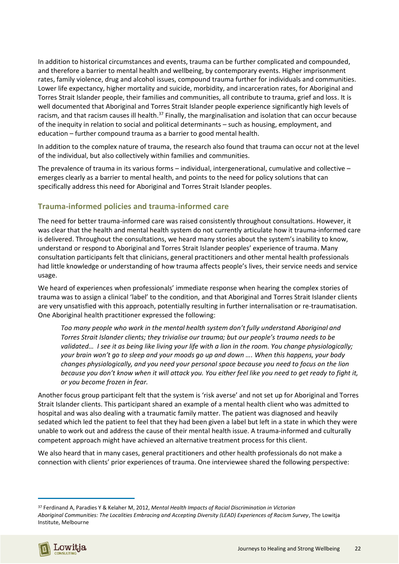In addition to historical circumstances and events, trauma can be further complicated and compounded, and therefore a barrier to mental health and wellbeing, by contemporary events. Higher imprisonment rates, family violence, drug and alcohol issues, compound trauma further for individuals and communities. Lower life expectancy, higher mortality and suicide, morbidity, and incarceration rates, for Aboriginal and Torres Strait Islander people, their families and communities, all contribute to trauma, grief and loss. It is well documented that Aboriginal and Torres Strait Islander people experience significantly high levels of racism, and that racism causes ill health.<sup>37</sup> Finally, the marginalisation and isolation that can occur because of the inequity in relation to social and political determinants – such as housing, employment, and education – further compound trauma as a barrier to good mental health.

In addition to the complex nature of trauma, the research also found that trauma can occur not at the level of the individual, but also collectively within families and communities.

The prevalence of trauma in its various forms – individual, intergenerational, cumulative and collective – emerges clearly as a barrier to mental health, and points to the need for policy solutions that can specifically address this need for Aboriginal and Torres Strait Islander peoples.

#### <span id="page-21-0"></span>**Trauma-informed policies and trauma-informed care**

The need for better trauma-informed care was raised consistently throughout consultations. However, it was clear that the health and mental health system do not currently articulate how it trauma-informed care is delivered. Throughout the consultations, we heard many stories about the system's inability to know, understand or respond to Aboriginal and Torres Strait Islander peoples' experience of trauma. Many consultation participants felt that clinicians, general practitioners and other mental health professionals had little knowledge or understanding of how trauma affects people's lives, their service needs and service usage.

We heard of experiences when professionals' immediate response when hearing the complex stories of trauma was to assign a clinical 'label' to the condition, and that Aboriginal and Torres Strait Islander clients are very unsatisfied with this approach, potentially resulting in further internalisation or re-traumatisation. One Aboriginal health practitioner expressed the following:

*Too many people who work in the mental health system don't fully understand Aboriginal and Torres Strait Islander clients; they trivialise our trauma; but our people's trauma needs to be validated… I see it as being like living your life with a lion in the room. You change physiologically; your brain won't go to sleep and your moods go up and down …. When this happens, your body changes physiologically, and you need your personal space because you need to focus on the lion because you don't know when it will attack you. You either feel like you need to get ready to fight it, or you become frozen in fear.*

Another focus group participant felt that the system is 'risk averse' and not set up for Aboriginal and Torres Strait Islander clients. This participant shared an example of a mental health client who was admitted to hospital and was also dealing with a traumatic family matter. The patient was diagnosed and heavily sedated which led the patient to feel that they had been given a label but left in a state in which they were unable to work out and address the cause of their mental health issue. A trauma-informed and culturally competent approach might have achieved an alternative treatment process for this client.

We also heard that in many cases, general practitioners and other health professionals do not make a connection with clients' prior experiences of trauma. One interviewee shared the following perspective:

<sup>37</sup> Ferdinand A, Paradies Y & Kelaher M, 2012, *Mental Health Impacts of Racial Discrimination in Victorian Aboriginal Communities: The Localities Embracing and Accepting Diversity (LEAD) Experiences of Racism Survey*, The Lowitja Institute, Melbourne

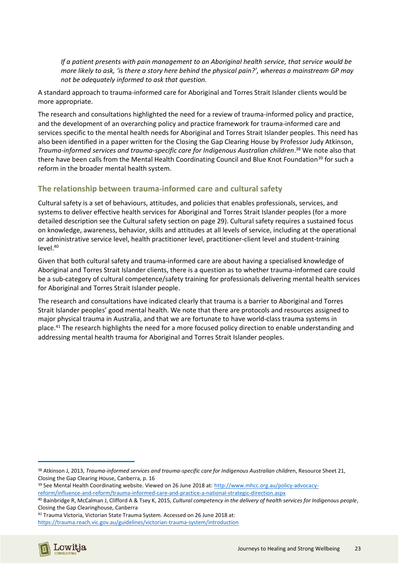*If a patient presents with pain management to an Aboriginal health service, that service would be more likely to ask, 'is there a story here behind the physical pain?', whereas a mainstream GP may not be adequately informed to ask that question.* 

A standard approach to trauma-informed care for Aboriginal and Torres Strait Islander clients would be more appropriate.

The research and consultations highlighted the need for a review of trauma-informed policy and practice, and the development of an overarching policy and practice framework for trauma-informed care and services specific to the mental health needs for Aboriginal and Torres Strait Islander peoples. This need has also been identified in a paper written for the Closing the Gap Clearing House by Professor Judy Atkinson, *Trauma-informed services and trauma-specific care for Indigenous Australian children*. <sup>38</sup> We note also that there have been calls from the Mental Health Coordinating Council and Blue Knot Foundation<sup>39</sup> for such a reform in the broader mental health system.

#### **The relationship between trauma-informed care and cultural safety**

Cultural safety is a set of behaviours, attitudes, and policies that enables professionals, services, and systems to deliver effective health services for Aboriginal and Torres Strait Islander peoples (for a more detailed description see th[e Cultural safety](#page-28-0) section on page 29). Cultural safety requires a sustained focus on knowledge, awareness, behavior, skills and attitudes at all levels of service, including at the operational or administrative service level, health practitioner level, practitioner-client level and student-training level.<sup>40</sup>

Given that both cultural safety and trauma-informed care are about having a specialised knowledge of Aboriginal and Torres Strait Islander clients, there is a question as to whether trauma-informed care could be a sub-category of cultural competence/safety training for professionals delivering mental health services for Aboriginal and Torres Strait Islander people.

The research and consultations have indicated clearly that trauma is a barrier to Aboriginal and Torres Strait Islander peoples' good mental health. We note that there are protocols and resources assigned to major physical trauma in Australia, and that we are fortunate to have world-class trauma systems in place.<sup>41</sup> The research highlights the need for a more focused policy direction to enable understanding and addressing mental health trauma for Aboriginal and Torres Strait Islander peoples.

<https://trauma.reach.vic.gov.au/guidelines/victorian-trauma-system/introduction>



<sup>38</sup> Atkinson J, 2013, *Trauma-informed services and trauma-specific care for Indigenous Australian childre*n, Resource Sheet 21, Closing the Gap Clearing House, Canberra, p. 16

<sup>39</sup> See Mental Health Coordinating website. Viewed on 26 June 2018 at: [http://www.mhcc.org.au/policy-advocacy-](http://www.mhcc.org.au/policy-advocacy-reform/influence-and-reform/trauma-informed-care-and-practice-a-national-strategic-direction.aspx)

[reform/influence-and-reform/trauma-informed-care-and-practice-a-national-strategic-direction.aspx](http://www.mhcc.org.au/policy-advocacy-reform/influence-and-reform/trauma-informed-care-and-practice-a-national-strategic-direction.aspx)

<sup>40</sup> Bainbridge R, McCalman J, Clifford A & Tsey K, 2015, *Cultural competency in the delivery of health services for Indigenous people*, Closing the Gap Clearinghouse, Canberra

<sup>41</sup> Trauma Victoria, Victorian State Trauma System. Accessed on 26 June 2018 at: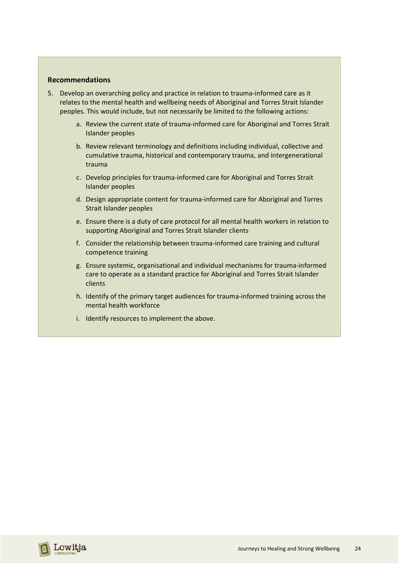#### **Recommendations**

- 5. Develop an overarching policy and practice in relation to trauma-informed care as it relates to the mental health and wellbeing needs of Aboriginal and Torres Strait Islander peoples. This would include, but not necessarily be limited to the following actions:
	- a. Review the current state of trauma-informed care for Aboriginal and Torres Strait Islander peoples
	- b. Review relevant terminology and definitions including individual, collective and cumulative trauma, historical and contemporary trauma, and intergenerational trauma
	- c. Develop principles for trauma-informed care for Aboriginal and Torres Strait Islander peoples
	- d. Design appropriate content for trauma-informed care for Aboriginal and Torres Strait Islander peoples
	- e. Ensure there is a duty of care protocol for all mental health workers in relation to supporting Aboriginal and Torres Strait Islander clients
	- f. Consider the relationship between trauma-informed care training and cultural competence training
	- g. Ensure systemic, organisational and individual mechanisms for trauma-informed care to operate as a standard practice for Aboriginal and Torres Strait Islander clients
	- h. Identify of the primary target audiences for trauma-informed training across the mental health workforce
	- i. Identify resources to implement the above.

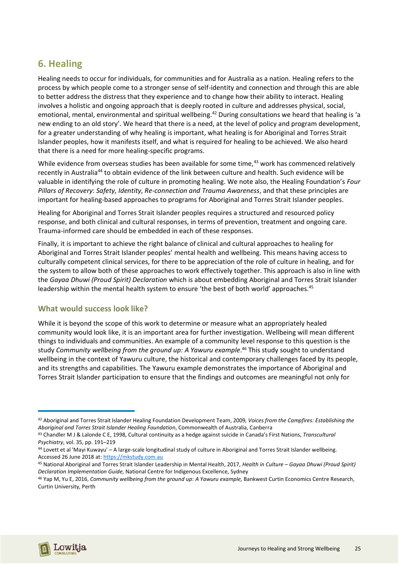# **6. Healing**

Healing needs to occur for individuals, for communities and for Australia as a nation. Healing refers to the process by which people come to a stronger sense of self-identity and connection and through this are able to better address the distress that they experience and to change how their ability to interact. Healing involves a holistic and ongoing approach that is deeply rooted in culture and addresses physical, social, emotional, mental, environmental and spiritual wellbeing.<sup>42</sup> During consultations we heard that healing is 'a new ending to an old story'. We heard that there is a need, at the level of policy and program development, for a greater understanding of why healing is important, what healing is for Aboriginal and Torres Strait Islander peoples, how it manifests itself, and what is required for healing to be achieved. We also heard that there is a need for more healing-specific programs.

While evidence from overseas studies has been available for some time,<sup>43</sup> work has commenced relatively recently in Australia<sup>44</sup> to obtain evidence of the link between culture and health. Such evidence will be valuable in identifying the role of culture in promoting healing. We note also, the Healing Foundation's *Four Pillars of Recovery*: *Safety, Identity, Re-connection and Trauma Awareness*, and that these principles are important for healing-based approaches to programs for Aboriginal and Torres Strait Islander peoples.

Healing for Aboriginal and Torres Strait Islander peoples requires a structured and resourced policy response, and both clinical and cultural responses, in terms of prevention, treatment and ongoing care. Trauma-informed care should be embedded in each of these responses.

Finally, it is important to achieve the right balance of clinical and cultural approaches to healing for Aboriginal and Torres Strait Islander peoples' mental health and wellbeing. This means having access to culturally competent clinical services, for there to be appreciation of the role of culture in healing, and for the system to allow both of these approaches to work effectively together. This approach is also in line with the *Gayaa Dhuwi (Proud Spirit) Declaration* which is about embedding Aboriginal and Torres Strait Islander leadership within the mental health system to ensure 'the best of both world' approaches.<sup>45</sup>

#### **What would success look like?**

While it is beyond the scope of this work to determine or measure what an appropriately healed community would look like, it is an important area for further investigation. Wellbeing will mean different things to individuals and communities. An example of a community level response to this question is the study *Community wellbeing from the ground up: A Yawuru example*. <sup>46</sup> This study sought to understand wellbeing in the context of Yawuru culture, the historical and contemporary challenges faced by its people, and its strengths and capabilities. The Yawuru example demonstrates the importance of Aboriginal and Torres Strait Islander participation to ensure that the findings and outcomes are meaningful not only for



<sup>42</sup> Aboriginal and Torres Strait Islander Healing Foundation Development Team, 2009*, Voices from the Campfires: Establishing the Aboriginal and Torres Strait Islander Healing Foundatio*n, Commonwealth of Australia, Canberra

<sup>43</sup> Chandler M J & Lalonde C E, 1998, Cultural continuity as a hedge against suicide in Canada's First Nations, *Transcultural Psychiatry*, vol. 35, pp. 191–219

<sup>44</sup> Lovett et al 'Mayi Kuwayu' – A large-scale longitudinal study of culture in Aboriginal and Torres Strait Islander wellbeing. Accessed 26 June 2018 at: [https://mkstudy.com.au](https://mkstudy.com.au/)

<sup>45</sup> National Aboriginal and Torres Strait Islander Leadership in Mental Health, 2017, *Health in Culture – Gayaa Dhuwi (Proud Spirit) Declaration Implementation Guide,* National Centre for Indigenous Excellence, Sydney

<sup>46</sup> Yap M, Yu E, 2016, *Community wellbeing from the ground up: A Yawuru example,* Bankwest Curtin Economics Centre Research, Curtin University, Perth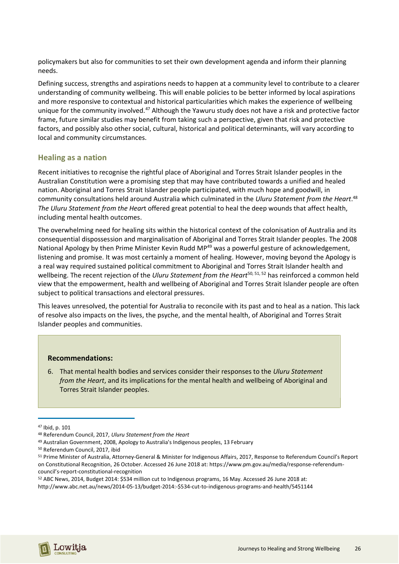policymakers but also for communities to set their own development agenda and inform their planning needs.

Defining success, strengths and aspirations needs to happen at a community level to contribute to a clearer understanding of community wellbeing. This will enable policies to be better informed by local aspirations and more responsive to contextual and historical particularities which makes the experience of wellbeing unique for the community involved.<sup>47</sup> Although the Yawuru study does not have a risk and protective factor frame, future similar studies may benefit from taking such a perspective, given that risk and protective factors, and possibly also other social, cultural, historical and political determinants, will vary according to local and community circumstances.

#### <span id="page-25-0"></span>**Healing as a nation**

Recent initiatives to recognise the rightful place of Aboriginal and Torres Strait Islander peoples in the Australian Constitution were a promising step that may have contributed towards a unified and healed nation. Aboriginal and Torres Strait Islander people participated, with much hope and goodwill, in community consultations held around Australia which culminated in the *Uluru Statement from the Heart*. 48 *The Uluru Statement from the Hear*t offered great potential to heal the deep wounds that affect health, including mental health outcomes.

The overwhelming need for healing sits within the historical context of the colonisation of Australia and its consequential dispossession and marginalisation of Aboriginal and Torres Strait Islander peoples. The 2008 National Apology by then Prime Minister Kevin Rudd MP<sup>49</sup> was a powerful gesture of acknowledgement, listening and promise. It was most certainly a moment of healing. However, moving beyond the Apology is a real way required sustained political commitment to Aboriginal and Torres Strait Islander health and wellbeing. The recent rejection of the *Uluru Statement from the Heart*50, 51, 52 has reinforced a common held view that the empowerment, health and wellbeing of Aboriginal and Torres Strait Islander people are often subject to political transactions and electoral pressures.

This leaves unresolved, the potential for Australia to reconcile with its past and to heal as a nation. This lack of resolve also impacts on the lives, the psyche, and the mental health, of Aboriginal and Torres Strait Islander peoples and communities.

#### **Recommendations:**

6. That mental health bodies and services consider their responses to the *Uluru Statement from the Heart*, and its implications for the mental health and wellbeing of Aboriginal and Torres Strait Islander peoples.



<sup>47</sup> Ibid, p. 101

<sup>48</sup> Referendum Council, 2017, *Uluru Statement from the Heart*

<sup>49</sup> Australian Government, 2008, Apology to Australia's Indigenous peoples, 13 February

<sup>50</sup> Referendum Council, 2017, ibid

<sup>51</sup> Prime Minister of Australia, Attorney-General & Minister for Indigenous Affairs, 2017, Response to Referendum Council's Report on Constitutional Recognition, 26 October. Accessed 26 June 2018 at: https://www.pm.gov.au/media/response-referendumcouncil's-report-constitutional-recognition

<sup>52</sup> ABC News, 2014, Budget 2014: \$534 million cut to Indigenous programs, 16 May. Accessed 26 June 2018 at:

http://www.abc.net.au/news/2014-05-13/budget-2014:-\$534-cut-to-indigenous-programs-and-health/5451144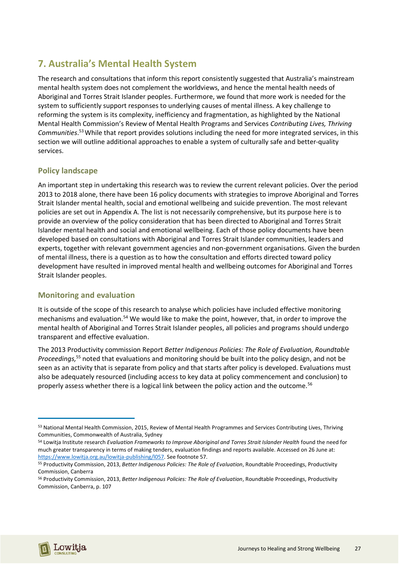# **7. Australia's Mental Health System**

The research and consultations that inform this report consistently suggested that Australia's mainstream mental health system does not complement the worldviews, and hence the mental health needs of Aboriginal and Torres Strait Islander peoples. Furthermore, we found that more work is needed for the system to sufficiently support responses to underlying causes of mental illness. A key challenge to reforming the system is its complexity, inefficiency and fragmentation, as highlighted by the National Mental Health Commission's Review of Mental Health Programs and Services *Contributing Lives, Thriving Communities*. <sup>53</sup>While that report provides solutions including the need for more integrated services, in this section we will outline additional approaches to enable a system of culturally safe and better-quality services.

## **Policy landscape**

An important step in undertaking this research was to review the current relevant policies. Over the period 2013 to 2018 alone, there have been 16 policy documents with strategies to improve Aboriginal and Torres Strait Islander mental health, social and emotional wellbeing and suicide prevention. The most relevant policies are set out in Appendix A. The list is not necessarily comprehensive, but its purpose here is to provide an overview of the policy consideration that has been directed to Aboriginal and Torres Strait Islander mental health and social and emotional wellbeing. Each of those policy documents have been developed based on consultations with Aboriginal and Torres Strait Islander communities, leaders and experts, together with relevant government agencies and non-government organisations. Given the burden of mental illness, there is a question as to how the consultation and efforts directed toward policy development have resulted in improved mental health and wellbeing outcomes for Aboriginal and Torres Strait Islander peoples.

#### **Monitoring and evaluation**

It is outside of the scope of this research to analyse which policies have included effective monitoring mechanisms and evaluation.<sup>54</sup> We would like to make the point, however, that, in order to improve the mental health of Aboriginal and Torres Strait Islander peoples, all policies and programs should undergo transparent and effective evaluation.

The 2013 Productivity commission Report *Better Indigenous Policies: The Role of Evaluation, Roundtable Proceedings,* <sup>55</sup> noted that evaluations and monitoring should be built into the policy design, and not be seen as an activity that is separate from policy and that starts after policy is developed. Evaluations must also be adequately resourced (including access to key data at policy commencement and conclusion) to properly assess whether there is a logical link between the policy action and the outcome.<sup>56</sup>



 53 National Mental Health Commission, 2015, Review of Mental Health Programmes and Services Contributing Lives, Thriving Communities, Commonwealth of Australia, Sydney

<sup>54</sup> Lowitja Institute research *Evaluation Frameworks to Improve Aboriginal and Torres Strait Islander Health* found the need for much greater transparency in terms of making tenders, evaluation findings and reports available. Accessed on 26 June at: [https://www.lowitja.org.au/lowitja-publishing/l057.](https://www.lowitja.org.au/lowitja-publishing/l057) See footnote 57.

<sup>55</sup> Productivity Commission, 2013, *Better Indigenous Policies: The Role of Evaluation*, Roundtable Proceedings, Productivity Commission, Canberra

<sup>56</sup> Productivity Commission, 2013, *Better Indigenous Policies: The Role of Evaluation*, Roundtable Proceedings, Productivity Commission, Canberra, p. 107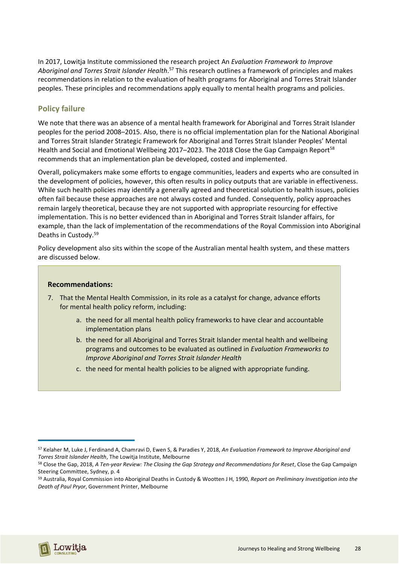In 2017, Lowitja Institute commissioned the research project An *Evaluation Framework to Improve Aboriginal and Torres Strait Islander Health.* <sup>57</sup> This research outlines a framework of principles and makes recommendations in relation to the evaluation of health programs for Aboriginal and Torres Strait Islander peoples. These principles and recommendations apply equally to mental health programs and policies.

### **Policy failure**

We note that there was an absence of a mental health framework for Aboriginal and Torres Strait Islander peoples for the period 2008–2015. Also, there is no official implementation plan for the National Aboriginal and Torres Strait Islander Strategic Framework for Aboriginal and Torres Strait Islander Peoples' Mental Health and Social and Emotional Wellbeing 2017–2023. The 2018 Close the Gap Campaign Report<sup>58</sup> recommends that an implementation plan be developed, costed and implemented.

Overall, policymakers make some efforts to engage communities, leaders and experts who are consulted in the development of policies, however, this often results in policy outputs that are variable in effectiveness. While such health policies may identify a generally agreed and theoretical solution to health issues, policies often fail because these approaches are not always costed and funded. Consequently, policy approaches remain largely theoretical, because they are not supported with appropriate resourcing for effective implementation. This is no better evidenced than in Aboriginal and Torres Strait Islander affairs, for example, than the lack of implementation of the recommendations of the Royal Commission into Aboriginal Deaths in Custody. 59

Policy development also sits within the scope of the Australian mental health system, and these matters are discussed below.

#### **Recommendations:**

- 7. That the Mental Health Commission, in its role as a catalyst for change, advance efforts for mental health policy reform, including:
	- a. the need for all mental health policy frameworks to have clear and accountable implementation plans
	- b. the need for all Aboriginal and Torres Strait Islander mental health and wellbeing programs and outcomes to be evaluated as outlined in *Evaluation Frameworks to Improve Aboriginal and Torres Strait Islander Health*
	- c. the need for mental health policies to be aligned with appropriate funding.



<sup>57</sup> Kelaher M, Luke J, Ferdinand A, Chamravi D, Ewen S, & Paradies Y, 2018, *An Evaluation Framework to Improve Aboriginal and Torres Strait Islander Health*, The Lowitja Institute, Melbourne

<sup>58</sup> Close the Gap, 2018, *A Ten-year Review: The Closing the Gap Strategy and Recommendations for Reset*, Close the Gap Campaign Steering Committee, Sydney, p. 4

<sup>59</sup> Australia, Royal Commission into Aboriginal Deaths in Custody & Wootten J H, 1990, *Report on Preliminary Investigation into the Death of Paul Pryor*, Government Printer, Melbourne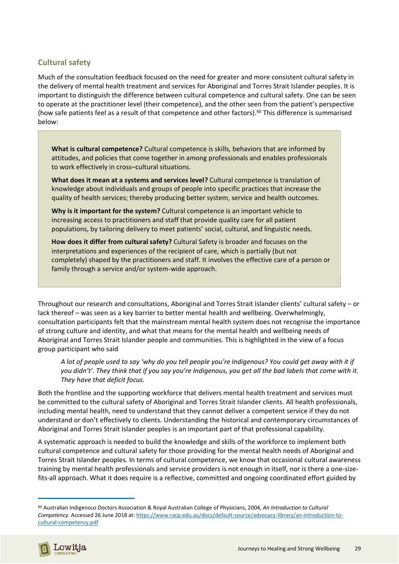#### <span id="page-28-0"></span>**Cultural safety**

Much of the consultation feedback focused on the need for greater and more consistent cultural safety in the delivery of mental health treatment and services for Aboriginal and Torres Strait Islander peoples. It is important to distinguish the difference between cultural competence and cultural safety. One can be seen to operate at the practitioner level (their competence), and the other seen from the patient's perspective (how safe patients feel as a result of that competence and other factors). <sup>60</sup> This difference is summarised below:

**What is cultural competence?** Cultural competence is skills, behaviors that are informed by attitudes, and policies that come together in among professionals and enables professionals to work effectively in cross–cultural situations.

**What does it mean at a systems and services level?** Cultural competence is translation of knowledge about individuals and groups of people into specific practices that increase the quality of health services; thereby producing better system, service and health outcomes.

**Why is it important for the system?** Cultural competence is an important vehicle to increasing access to practitioners and staff that provide quality care for all patient populations, by tailoring delivery to meet patients' social, cultural, and linguistic needs.

**How does it differ from cultural safety?** Cultural Safety is broader and focuses on the interpretations and experiences of the recipient of care, which is partially (but not completely) shaped by the practitioners and staff. It involves the effective care of a person or family through a service and/or system-wide approach.

Throughout our research and consultations, Aboriginal and Torres Strait Islander clients' cultural safety – or lack thereof – was seen as a key barrier to better mental health and wellbeing. Overwhelmingly, consultation participants felt that the mainstream mental health system does not recognise the importance of strong culture and identity, and what that means for the mental health and wellbeing needs of Aboriginal and Torres Strait Islander people and communities. This is highlighted in the view of a focus group participant who said

*A lot of people used to say 'why do you tell people you're Indigenous? You could get away with it if you didn't'. They think that if you say you're Indigenous, you get all the bad labels that come with it. They have that deficit focus.*

Both the frontline and the supporting workforce that delivers mental health treatment and services must be committed to the cultural safety of Aboriginal and Torres Strait Islander clients. All health professionals, including mental health, need to understand that they cannot deliver a competent service if they do not understand or don't effectively to clients. Understanding the historical and contemporary circumstances of Aboriginal and Torres Strait Islander peoples is an important part of that professional capability.

A systematic approach is needed to build the knowledge and skills of the workforce to implement both cultural competence and cultural safety for those providing for the mental health needs of Aboriginal and Torres Strait Islander peoples. In terms of cultural competence, we know that occasional cultural awareness training by mental health professionals and service providers is not enough in itself, nor is there a one-sizefits-all approach. What it does require is a reflective, committed and ongoing coordinated effort guided by

<sup>60</sup> Australian Indigenous Doctors Association & Royal Australian College of Physicians, 2004*, An Introduction to Cultural Competency*. Accessed 26 June 2018 at[: https://www.racp.edu.au/docs/default-source/advocacy-library/an-introduction-to](https://www.racp.edu.au/docs/default-source/advocacy-library/an-introduction-to-cultural-competency.pdf)[cultural-competency.pdf](https://www.racp.edu.au/docs/default-source/advocacy-library/an-introduction-to-cultural-competency.pdf)

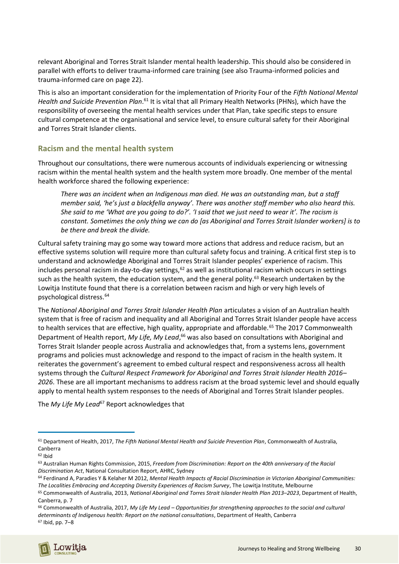relevant Aboriginal and Torres Strait Islander mental health leadership. This should also be considered in parallel with efforts to deliver trauma-informed care training (see also [Trauma-informed](#page-21-0) policies and [trauma-informed care](#page-21-0) on page 22).

This is also an important consideration for the implementation of Priority Four of the *Fifth National Mental*  Health and Suicide Prevention Plan.<sup>61</sup> It is vital that all Primary Health Networks (PHNs), which have the responsibility of overseeing the mental health services under that Plan, take specific steps to ensure cultural competence at the organisational and service level, to ensure cultural safety for their Aboriginal and Torres Strait Islander clients.

#### **Racism and the mental health system**

Throughout our consultations, there were numerous accounts of individuals experiencing or witnessing racism within the mental health system and the health system more broadly. One member of the mental health workforce shared the following experience:

*There was an incident when an Indigenous man died. He was an outstanding man, but a staff member said, 'he's just a blackfella anyway'. There was another staff member who also heard this. She said to me 'What are you going to do?'. 'I said that we just need to wear it'. The racism is constant. Sometimes the only thing we can do [as Aboriginal and Torres Strait Islander workers] is to be there and break the divide.*

Cultural safety training may go some way toward more actions that address and reduce racism, but an effective systems solution will require more than cultural safety focus and training. A critical first step is to understand and acknowledge Aboriginal and Torres Strait Islander peoples' experience of racism. This includes personal racism in day-to-day settings,  $62$  as well as institutional racism which occurs in settings such as the health system, the education system, and the general polity.<sup>63</sup> Research undertaken by the Lowitja Institute found that there is a correlation between racism and high or very high levels of psychological distress. 64

The *National Aboriginal and Torres Strait Islander Health Plan* articulates a vision of an Australian health system that is free of racism and inequality and all Aboriginal and Torres Strait Islander people have access to health services that are effective, high quality, appropriate and affordable.<sup>65</sup> The 2017 Commonwealth Department of Health report, My Life, My Lead,<sup>66</sup> was also based on consultations with Aboriginal and Torres Strait Islander people across Australia and acknowledges that, from a systems lens, government programs and policies must acknowledge and respond to the impact of racism in the health system. It reiterates the government's agreement to embed cultural respect and responsiveness across all health systems through the *Cultural Respect Framework for Aboriginal and Torres Strait Islander Health 2016– 2026*. These are all important mechanisms to address racism at the broad systemic level and should equally apply to mental health system responses to the needs of Aboriginal and Torres Strait Islander peoples.

The *My Life My Lead*<sup>67</sup> Report acknowledges that

<sup>66</sup> Commonwealth of Australia, 2017, *My Life My Lead – Opportunities for strengthening approaches to the social and cultural determinants of Indigenous health: Report on the national consultations*, Department of Health, Canberra <sup>67</sup> Ibid, pp. 7–8



<sup>61</sup> Department of Health, 2017, *The Fifth National Mental Health and Suicide Prevention Plan*, Commonwealth of Australia, Canberra

<sup>62</sup> Ibid

<sup>63</sup> Australian Human Rights Commission, 2015, *Freedom from Discrimination: Report on the 40th anniversary of the Racial Discrimination Act*, National Consultation Report, AHRC, Sydney

<sup>64</sup> Ferdinand A, Paradies Y & Kelaher M 2012, *Mental Health Impacts of Racial Discrimination in Victorian Aboriginal Communities: The Localities Embracing and Accepting Diversity Experiences of Racism Survey*, The Lowitja Institute, Melbourne

<sup>65</sup> Commonwealth of Australia, 2013, *National Aboriginal and Torres Strait Islander Health Plan 2013–2023*, Department of Health, Canberra, p. 7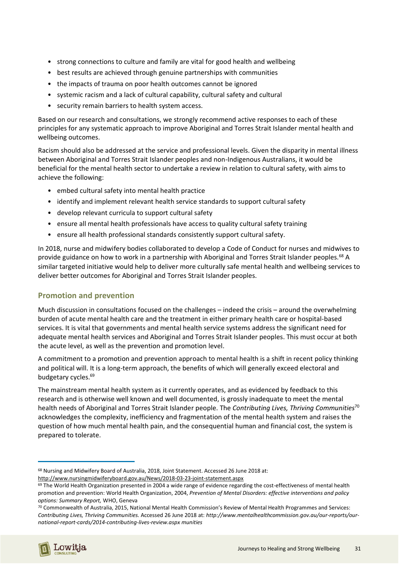- strong connections to culture and family are vital for good health and wellbeing
- best results are achieved through genuine partnerships with communities
- the impacts of trauma on poor health outcomes cannot be ignored
- systemic racism and a lack of cultural capability, cultural safety and cultural
- security remain barriers to health system access.

Based on our research and consultations, we strongly recommend active responses to each of these principles for any systematic approach to improve Aboriginal and Torres Strait Islander mental health and wellbeing outcomes.

Racism should also be addressed at the service and professional levels. Given the disparity in mental illness between Aboriginal and Torres Strait Islander peoples and non-Indigenous Australians, it would be beneficial for the mental health sector to undertake a review in relation to cultural safety, with aims to achieve the following:

- embed cultural safety into mental health practice
- identify and implement relevant health service standards to support cultural safety
- develop relevant curricula to support cultural safety
- ensure all mental health professionals have access to quality cultural safety training
- ensure all health professional standards consistently support cultural safety.

In 2018, nurse and midwifery bodies collaborated to develop a Code of Conduct for nurses and midwives to provide guidance on how to work in a partnership with Aboriginal and Torres Strait Islander peoples.<sup>68</sup> A similar targeted initiative would help to deliver more culturally safe mental health and wellbeing services to deliver better outcomes for Aboriginal and Torres Strait Islander peoples.

#### **Promotion and prevention**

Much discussion in consultations focused on the challenges – indeed the crisis – around the overwhelming burden of acute mental health care and the treatment in either primary health care or hospital-based services. It is vital that governments and mental health service systems address the significant need for adequate mental health services and Aboriginal and Torres Strait Islander peoples. This must occur at both the acute level, as well as the prevention and promotion level.

A commitment to a promotion and prevention approach to mental health is a shift in recent policy thinking and political will. It is a long-term approach, the benefits of which will generally exceed electoral and budgetary cycles.<sup>69</sup>

The mainstream mental health system as it currently operates, and as evidenced by feedback to this research and is otherwise well known and well documented, is grossly inadequate to meet the mental health needs of Aboriginal and Torres Strait Islander people. The *Contributing Lives, Thriving Communities*<sup>70</sup> acknowledges the complexity, inefficiency and fragmentation of the mental health system and raises the question of how much mental health pain, and the consequential human and financial cost, the system is prepared to tolerate.

<sup>70</sup> Commonwealth of Australia, 2015, National Mental Health Commission's Review of Mental Health Programmes and Services: *Contributing Lives, Thriving Communities.* Accessed 26 June 2018 at: *http://www.mentalhealthcommission.gov.au/our-reports/ournational-report-cards/2014-contributing-lives-review.aspx munities*



<sup>68</sup> Nursing and Midwifery Board of Australia, 2018, Joint Statement. Accessed 26 June 2018 at:

<http://www.nursingmidwiferyboard.gov.au/News/2018-03-23-joint-statement.aspx>

 $69$  The World Health Organization presented in 2004 a wide range of evidence regarding the cost-effectiveness of mental health promotion and prevention: World Health Organization, 2004, *Prevention of Mental Disorders: effective interventions and policy options: Summary Report,* WHO, Geneva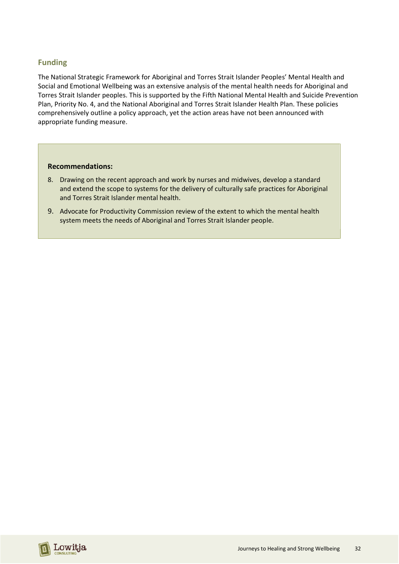#### **Funding**

The National Strategic Framework for Aboriginal and Torres Strait Islander Peoples' Mental Health and Social and Emotional Wellbeing was an extensive analysis of the mental health needs for Aboriginal and Torres Strait Islander peoples. This is supported by the Fifth National Mental Health and Suicide Prevention Plan, Priority No. 4, and the National Aboriginal and Torres Strait Islander Health Plan. These policies comprehensively outline a policy approach, yet the action areas have not been announced with appropriate funding measure.

#### **Recommendations:**

- 8. Drawing on the recent approach and work by nurses and midwives, develop a standard and extend the scope to systems for the delivery of culturally safe practices for Aboriginal and Torres Strait Islander mental health.
- 9. Advocate for Productivity Commission review of the extent to which the mental health system meets the needs of Aboriginal and Torres Strait Islander people.

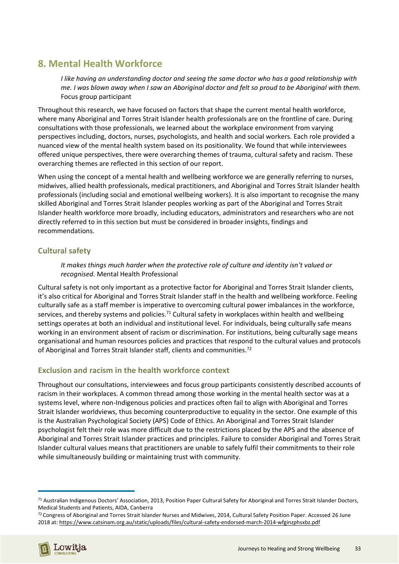# **8. Mental Health Workforce**

*I like having an understanding doctor and seeing the same doctor who has a good relationship with me. I was blown away when I saw an Aboriginal doctor and felt so proud to be Aboriginal with them.*  Focus group participant

Throughout this research, we have focused on factors that shape the current mental health workforce, where many Aboriginal and Torres Strait Islander health professionals are on the frontline of care. During consultations with those professionals, we learned about the workplace environment from varying perspectives including, doctors, nurses, psychologists, and health and social workers. Each role provided a nuanced view of the mental health system based on its positionality. We found that while interviewees offered unique perspectives, there were overarching themes of trauma, cultural safety and racism. These overarching themes are reflected in this section of our report.

When using the concept of a mental health and wellbeing workforce we are generally referring to nurses, midwives, allied health professionals, medical practitioners, and Aboriginal and Torres Strait Islander health professionals (including social and emotional wellbeing workers). It is also important to recognise the many skilled Aboriginal and Torres Strait Islander peoples working as part of the Aboriginal and Torres Strait Islander health workforce more broadly, including educators, administrators and researchers who are not directly referred to in this section but must be considered in broader insights, findings and recommendations.

## **Cultural safety**

*It makes things much harder when the protective role of culture and identity isn't valued or recognised.* Mental Health Professional

Cultural safety is not only important as a protective factor for Aboriginal and Torres Strait Islander clients, it's also critical for Aboriginal and Torres Strait Islander staff in the health and wellbeing workforce. Feeling culturally safe as a staff member is imperative to overcoming cultural power imbalances in the workforce, services, and thereby systems and policies.<sup>71</sup> Cultural safety in workplaces within health and wellbeing settings operates at both an individual and institutional level. For individuals, being culturally safe means working in an environment absent of racism or discrimination. For institutions, being culturally sage means organisational and human resources policies and practices that respond to the cultural values and protocols of Aboriginal and Torres Strait Islander staff, clients and communities.<sup>72</sup>

## **Exclusion and racism in the health workforce context**

Throughout our consultations, interviewees and focus group participants consistently described accounts of racism in their workplaces. A common thread among those working in the mental health sector was at a systems level, where non-Indigenous policies and practices often fail to align with Aboriginal and Torres Strait Islander worldviews, thus becoming counterproductive to equality in the sector. One example of this is the Australian Psychological Society (APS) Code of Ethics. An Aboriginal and Torres Strait Islander psychologist felt their role was more difficult due to the restrictions placed by the APS and the absence of Aboriginal and Torres Strait Islander practices and principles. Failure to consider Aboriginal and Torres Strait Islander cultural values means that practitioners are unable to safely fulfil their commitments to their role while simultaneously building or maintaining trust with community.

<sup>72</sup> Congress of Aboriginal and Torres Strait Islander Nurses and Midwives, 2014, Cultural Safety Position Paper. Accessed 26 June 2018 at[: https://www.catsinam.org.au/static/uploads/files/cultural-safety-endorsed-march-2014-wfginzphsxbz.pdf](https://www.catsinam.org.au/static/uploads/files/cultural-safety-endorsed-march-2014-wfginzphsxbz.pdf)



<sup>71</sup> Australian Indigenous Doctors' Association, 2013, Position Paper Cultural Safety for Aboriginal and Torres Strait Islander Doctors, Medical Students and Patients, AIDA, Canberra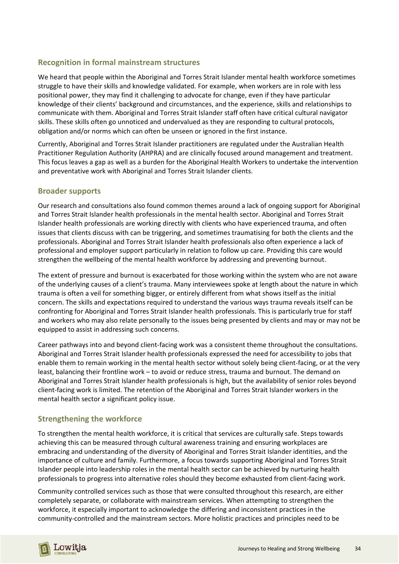#### **Recognition in formal mainstream structures**

We heard that people within the Aboriginal and Torres Strait Islander mental health workforce sometimes struggle to have their skills and knowledge validated. For example, when workers are in role with less positional power, they may find it challenging to advocate for change, even if they have particular knowledge of their clients' background and circumstances, and the experience, skills and relationships to communicate with them. Aboriginal and Torres Strait Islander staff often have critical cultural navigator skills. These skills often go unnoticed and undervalued as they are responding to cultural protocols, obligation and/or norms which can often be unseen or ignored in the first instance.

Currently, Aboriginal and Torres Strait Islander practitioners are regulated under the Australian Health Practitioner Regulation Authority (AHPRA) and are clinically focused around management and treatment. This focus leaves a gap as well as a burden for the Aboriginal Health Workers to undertake the intervention and preventative work with Aboriginal and Torres Strait Islander clients.

#### **Broader supports**

Our research and consultations also found common themes around a lack of ongoing support for Aboriginal and Torres Strait Islander health professionals in the mental health sector. Aboriginal and Torres Strait Islander health professionals are working directly with clients who have experienced trauma, and often issues that clients discuss with can be triggering, and sometimes traumatising for both the clients and the professionals. Aboriginal and Torres Strait Islander health professionals also often experience a lack of professional and employer support particularly in relation to follow up care. Providing this care would strengthen the wellbeing of the mental health workforce by addressing and preventing burnout.

The extent of pressure and burnout is exacerbated for those working within the system who are not aware of the underlying causes of a client's trauma. Many interviewees spoke at length about the nature in which trauma is often a veil for something bigger, or entirely different from what shows itself as the initial concern. The skills and expectations required to understand the various ways trauma reveals itself can be confronting for Aboriginal and Torres Strait Islander health professionals. This is particularly true for staff and workers who may also relate personally to the issues being presented by clients and may or may not be equipped to assist in addressing such concerns.

Career pathways into and beyond client-facing work was a consistent theme throughout the consultations. Aboriginal and Torres Strait Islander health professionals expressed the need for accessibility to jobs that enable them to remain working in the mental health sector without solely being client-facing, or at the very least, balancing their frontline work – to avoid or reduce stress, trauma and burnout. The demand on Aboriginal and Torres Strait Islander health professionals is high, but the availability of senior roles beyond client-facing work is limited. The retention of the Aboriginal and Torres Strait Islander workers in the mental health sector a significant policy issue.

#### **Strengthening the workforce**

To strengthen the mental health workforce, it is critical that services are culturally safe. Steps towards achieving this can be measured through cultural awareness training and ensuring workplaces are embracing and understanding of the diversity of Aboriginal and Torres Strait Islander identities, and the importance of culture and family. Furthermore, a focus towards supporting Aboriginal and Torres Strait Islander people into leadership roles in the mental health sector can be achieved by nurturing health professionals to progress into alternative roles should they become exhausted from client-facing work.

Community controlled services such as those that were consulted throughout this research, are either completely separate, or collaborate with mainstream services. When attempting to strengthen the workforce, it especially important to acknowledge the differing and inconsistent practices in the community-controlled and the mainstream sectors. More holistic practices and principles need to be

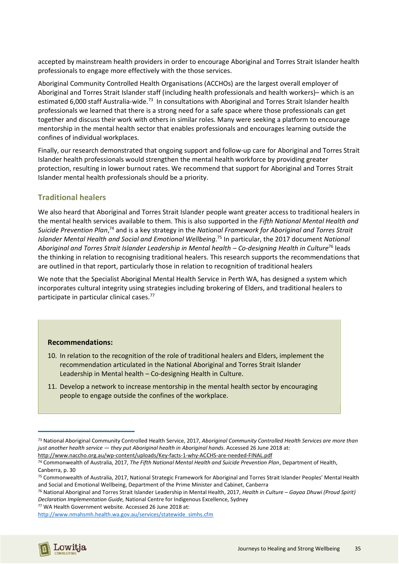accepted by mainstream health providers in order to encourage Aboriginal and Torres Strait Islander health professionals to engage more effectively with the those services.

Aboriginal Community Controlled Health Organisations (ACCHOs) are the largest overall employer of Aboriginal and Torres Strait Islander staff (including health professionals and health workers)– which is an estimated 6,000 staff Australia-wide.<sup>73</sup> In consultations with Aboriginal and Torres Strait Islander health professionals we learned that there is a strong need for a safe space where those professionals can get together and discuss their work with others in similar roles. Many were seeking a platform to encourage mentorship in the mental health sector that enables professionals and encourages learning outside the confines of individual workplaces.

Finally, our research demonstrated that ongoing support and follow-up care for Aboriginal and Torres Strait Islander health professionals would strengthen the mental health workforce by providing greater protection, resulting in lower burnout rates. We recommend that support for Aboriginal and Torres Strait Islander mental health professionals should be a priority.

#### **Traditional healers**

We also heard that Aboriginal and Torres Strait Islander people want greater access to traditional healers in the mental health services available to them. This is also supported in the *Fifth National Mental Health and Suicide Prevention Plan*, <sup>74</sup> and is a key strategy in the *National Framework for Aboriginal and Torres Strait Islander Mental Health and Social and Emotional Wellbeing.* <sup>75</sup> In particular, the 2017 document *National Aboriginal and Torres Strait Islander Leadership in Mental health – Co-designing Health in Culture*<sup>76</sup> leads the thinking in relation to recognising traditional healers. This research supports the recommendations that are outlined in that report, particularly those in relation to recognition of traditional healers

We note that the Specialist Aboriginal Mental Health Service in Perth WA, has designed a system which incorporates cultural integrity using strategies including brokering of Elders, and traditional healers to participate in particular clinical cases.<sup>77</sup>

#### **Recommendations:**

- 10. In relation to the recognition of the role of traditional healers and Elders, implement the recommendation articulated in the National Aboriginal and Torres Strait Islander Leadership in Mental health – Co-designing Health in Culture.
- 11. Develop a network to increase mentorship in the mental health sector by encouraging people to engage outside the confines of the workplace.

<sup>77</sup> WA Health Government website. Accessed 26 June 2018 at:

[http://www.nmahsmh.health.wa.gov.au/services/statewide\\_simhs.cfm](http://www.nmahsmh.health.wa.gov.au/services/statewide_simhs.cfm)



<sup>73</sup> National Aboriginal Community Controlled Health Service, 2017, *Aboriginal Community Controlled Health Services are more than just another health service — they put Aboriginal health in Aboriginal hands*. Accessed 26 June 2018 at:

<http://www.naccho.org.au/wp-content/uploads/Key-facts-1-why-ACCHS-are-needed-FINAL.pdf>

<sup>74</sup> Commonwealth of Australia, 2017, *The Fifth National Mental Health and Suicide Prevention Plan*, Department of Health, Canberra, p. 30

<sup>75</sup> Commonwealth of Australia, 2017, National Strategic Framework for Aboriginal and Torres Strait Islander Peoples' Mental Health and Social and Emotional Wellbeing, Department of the Prime Minister and Cabinet, Canberra

<sup>76</sup> National Aboriginal and Torres Strait Islander Leadership in Mental Health, 2017, *Health in Culture – Gayaa Dhuwi (Proud Spirit) Declaration Implementation Guide,* National Centre for Indigenous Excellence, Sydney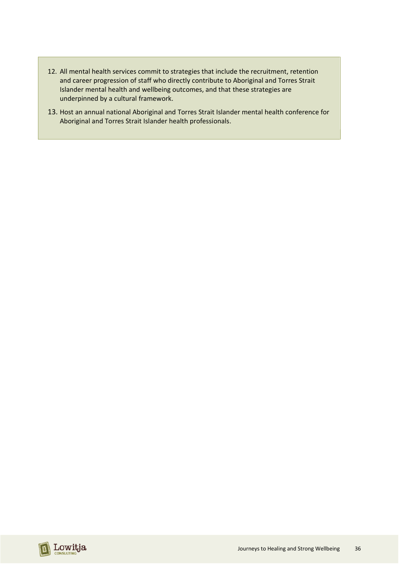- 12. All mental health services commit to strategies that include the recruitment, retention and career progression of staff who directly contribute to Aboriginal and Torres Strait Islander mental health and wellbeing outcomes, and that these strategies are underpinned by a cultural framework.
- 13. Host an annual national Aboriginal and Torres Strait Islander mental health conference for Aboriginal and Torres Strait Islander health professionals.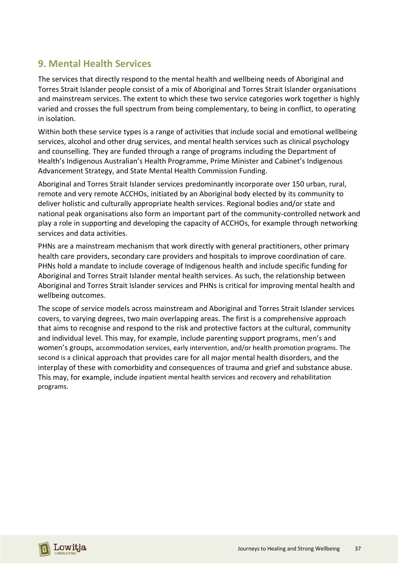# **9. Mental Health Services**

The services that directly respond to the mental health and wellbeing needs of Aboriginal and Torres Strait Islander people consist of a mix of Aboriginal and Torres Strait Islander organisations and mainstream services. The extent to which these two service categories work together is highly varied and crosses the full spectrum from being complementary, to being in conflict, to operating in isolation.

Within both these service types is a range of activities that include social and emotional wellbeing services, alcohol and other drug services, and mental health services such as clinical psychology and counselling. They are funded through a range of programs including the Department of Health's Indigenous Australian's Health Programme, Prime Minister and Cabinet's Indigenous Advancement Strategy, and State Mental Health Commission Funding.

Aboriginal and Torres Strait Islander services predominantly incorporate over 150 urban, rural, remote and very remote ACCHOs, initiated by an Aboriginal body elected by its community to deliver holistic and culturally appropriate health services. Regional bodies and/or state and national peak organisations also form an important part of the community-controlled network and play a role in supporting and developing the capacity of ACCHOs, for example through networking services and data activities.

PHNs are a mainstream mechanism that work directly with general practitioners, other primary health care providers, secondary care providers and hospitals to improve coordination of care. PHNs hold a mandate to include coverage of Indigenous health and include specific funding for Aboriginal and Torres Strait Islander mental health services. As such, the relationship between Aboriginal and Torres Strait Islander services and PHNs is critical for improving mental health and wellbeing outcomes.

The scope of service models across mainstream and Aboriginal and Torres Strait Islander services covers, to varying degrees, two main overlapping areas. The first is a comprehensive approach that aims to recognise and respond to the risk and protective factors at the cultural, community and individual level. This may, for example, include parenting support programs, men's and women's groups, accommodation services, early intervention, and/or health promotion programs. The second is a clinical approach that provides care for all major mental health disorders, and the interplay of these with comorbidity and consequences of trauma and grief and substance abuse. This may, for example, include inpatient mental health services and recovery and rehabilitation programs.

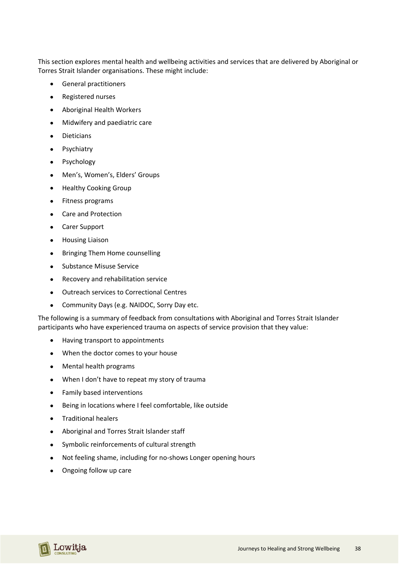This section explores mental health and wellbeing activities and services that are delivered by Aboriginal or Torres Strait Islander organisations. These might include:

- General practitioners
- Registered nurses
- Aboriginal Health Workers
- Midwifery and paediatric care
- Dieticians
- Psychiatry
- Psychology
- Men's, Women's, Elders' Groups
- Healthy Cooking Group
- Fitness programs
- Care and Protection
- Carer Support
- Housing Liaison
- Bringing Them Home counselling
- Substance Misuse Service
- Recovery and rehabilitation service
- Outreach services to Correctional Centres
- Community Days (e.g. NAIDOC, Sorry Day etc.

The following is a summary of feedback from consultations with Aboriginal and Torres Strait Islander participants who have experienced trauma on aspects of service provision that they value:

- Having transport to appointments
- When the doctor comes to your house
- Mental health programs
- When I don't have to repeat my story of trauma
- Family based interventions
- Being in locations where I feel comfortable, like outside
- Traditional healers
- Aboriginal and Torres Strait Islander staff
- Symbolic reinforcements of cultural strength
- Not feeling shame, including for no-shows Longer opening hours
- Ongoing follow up care

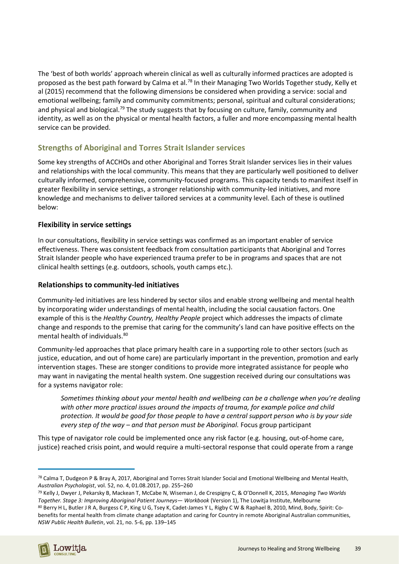The 'best of both worlds' approach wherein clinical as well as culturally informed practices are adopted is proposed as the best path forward by Calma et al.<sup>78</sup> In their Managing Two Worlds Together study, Kelly et al (2015) recommend that the following dimensions be considered when providing a service: social and emotional wellbeing; family and community commitments; personal, spiritual and cultural considerations; and physical and biological.<sup>79</sup> The study suggests that by focusing on culture, family, community and identity, as well as on the physical or mental health factors, a fuller and more encompassing mental health service can be provided.

## **Strengths of Aboriginal and Torres Strait Islander services**

Some key strengths of ACCHOs and other Aboriginal and Torres Strait Islander services lies in their values and relationships with the local community. This means that they are particularly well positioned to deliver culturally informed, comprehensive, community-focused programs. This capacity tends to manifest itself in greater flexibility in service settings, a stronger relationship with community-led initiatives, and more knowledge and mechanisms to deliver tailored services at a community level. Each of these is outlined below:

#### **Flexibility in service settings**

In our consultations, flexibility in service settings was confirmed as an important enabler of service effectiveness. There was consistent feedback from consultation participants that Aboriginal and Torres Strait Islander people who have experienced trauma prefer to be in programs and spaces that are not clinical health settings (e.g. outdoors, schools, youth camps etc.).

#### **Relationships to community-led initiatives**

Community-led initiatives are less hindered by sector silos and enable strong wellbeing and mental health by incorporating wider understandings of mental health, including the social causation factors. One example of this is the *Healthy Country, Healthy People* project which addresses the impacts of climate change and responds to the premise that caring for the community's land can have positive effects on the mental health of individuals. 80

Community-led approaches that place primary health care in a supporting role to other sectors (such as justice, education, and out of home care) are particularly important in the prevention, promotion and early intervention stages. These are stonger conditions to provide more integrated assistance for people who may want in navigating the mental health system. One suggestion received during our consultations was for a systems navigator role:

*Sometimes thinking about your mental health and wellbeing can be a challenge when you're dealing with other more practical issues around the impacts of trauma, for example police and child protection. It would be good for those people to have a central support person who is by your side every step of the way – and that person must be Aboriginal.* Focus group participant

This type of navigator role could be implemented once any risk factor (e.g. housing, out-of-home care, justice) reached crisis point, and would require a multi-sectoral response that could operate from a range

<sup>80</sup> Berry H L, Butler J R A, Burgess C P, King U G, Tsey K, Cadet-James Y L, Rigby C W & Raphael B, 2010, Mind, Body, Spirit: Cobenefits for mental health from climate change adaptation and caring for Country in remote Aboriginal Australian communities, *NSW Public Health Bulletin*, vol. 21, no. 5-6, pp. 139–145



<sup>78</sup> Calma T, Dudgeon P & Bray A, 2017, Aboriginal and Torres Strait Islander Social and Emotional Wellbeing and Mental Health, *Australian Psychologist*, vol. 52, no. 4, 01.08.2017, pp. 255–260

<sup>79</sup> Kelly J, Dwyer J, Pekarsky B, Mackean T, McCabe N, Wiseman J, de Crespigny C, & O'Donnell K, 2015, *Managing Two Worlds Together. Stage 3: Improving Aboriginal Patient Journeys— Workbook* (Version 1), The Lowitja Institute, Melbourne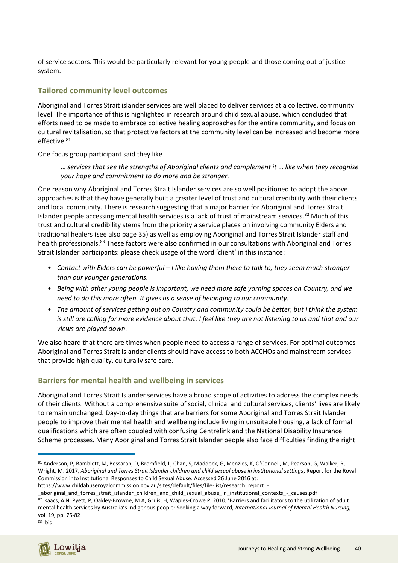of service sectors. This would be particularly relevant for young people and those coming out of justice system.

### **Tailored community level outcomes**

Aboriginal and Torres Strait islander services are well placed to deliver services at a collective, community level. The importance of this is highlighted in research around child sexual abuse, which concluded that efforts need to be made to embrace collective healing approaches for the entire community, and focus on cultural revitalisation, so that protective factors at the community level can be increased and become more effective. 81

One focus group participant said they like

*… services that see the strengths of Aboriginal clients and complement it … like when they recognise your hope and commitment to do more and be stronger.*

One reason why Aboriginal and Torres Strait Islander services are so well positioned to adopt the above approaches is that they have generally built a greater level of trust and cultural credibility with their clients and local community. There is research suggesting that a major barrier for Aboriginal and Torres Strait Islander people accessing mental health services is a lack of trust of mainstream services.<sup>82</sup> Much of this trust and cultural credibility stems from the priority a service places on involving community Elders and traditional healers (see also page 35) as well as employing Aboriginal and Torres Strait Islander staff and health professionals.<sup>83</sup> These factors were also confirmed in our consultations with Aboriginal and Torres Strait Islander participants: please check usage of the word 'client' in this instance:

- *Contact with Elders can be powerful – I like having them there to talk to, they seem much stronger than our younger generations.*
- *Being with other young people is important, we need more safe yarning spaces on Country, and we need to do this more often. It gives us a sense of belonging to our community.*
- *The amount of services getting out on Country and community could be better, but I think the system is still are calling for more evidence about that. I feel like they are not listening to us and that and our views are played down.*

We also heard that there are times when people need to access a range of services. For optimal outcomes Aboriginal and Torres Strait Islander clients should have access to both ACCHOs and mainstream services that provide high quality, culturally safe care.

## **Barriers for mental health and wellbeing in services**

Aboriginal and Torres Strait Islander services have a broad scope of activities to address the complex needs of their clients. Without a comprehensive suite of social, clinical and cultural services, clients' lives are likely to remain unchanged. Day-to-day things that are barriers for some Aboriginal and Torres Strait Islander people to improve their mental health and wellbeing include living in unsuitable housing, a lack of formal qualifications which are often coupled with confusing Centrelink and the National Disability Insurance Scheme processes. Many Aboriginal and Torres Strait Islander people also face difficulties finding the right



<sup>81</sup> Anderson, P, Bamblett, M, Bessarab, D, Bromfield, L, Chan, S, Maddock, G, Menzies, K, O'Connell, M, Pearson, G, Walker, R, Wright, M. 2017, *Aboriginal and Torres Strait Islander children and child sexual abuse in institutional settings*, Report for the Royal Commission into Institutional Responses to Child Sexual Abuse. Accessed 26 June 2016 at:

https://www.childabuseroyalcommission.gov.au/sites/default/files/file-list/research\_report\_-

\_aboriginal\_and\_torres\_strait\_islander\_children\_and\_child\_sexual\_abuse\_in\_institutional\_contexts\_-\_causes.pdf 82 Isaacs, A N, Pyett, P, Oakley-Browne, M A, Gruis, H, Waples-Crowe P, 2010, 'Barriers and facilitators to the utilization of adult mental health services by Australia's Indigenous people: Seeking a way forward, *International Journal of Mental Health Nursing,*  vol. 19, pp. 75-82

<sup>83</sup> Ibid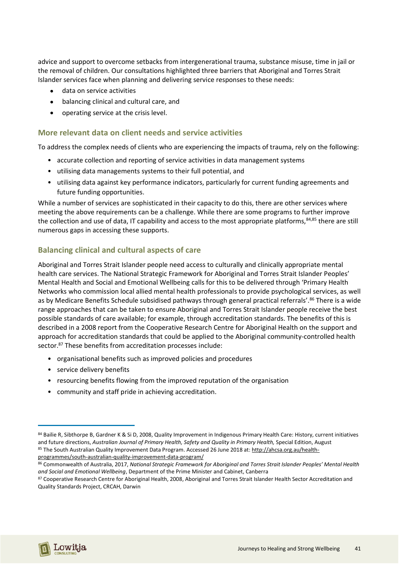advice and support to overcome setbacks from intergenerational trauma, substance misuse, time in jail or the removal of children. Our consultations highlighted three barriers that Aboriginal and Torres Strait Islander services face when planning and delivering service responses to these needs:

- data on service activities
- balancing clinical and cultural care, and
- operating service at the crisis level.

#### **More relevant data on client needs and service activities**

To address the complex needs of clients who are experiencing the impacts of trauma, rely on the following:

- accurate collection and reporting of service activities in data management systems
- utilising data managements systems to their full potential, and
- utilising data against key performance indicators, particularly for current funding agreements and future funding opportunities.

While a number of services are sophisticated in their capacity to do this, there are other services where meeting the above requirements can be a challenge. While there are some programs to further improve the collection and use of data, IT capability and access to the most appropriate platforms,<sup>84,85</sup> there are still numerous gaps in accessing these supports.

#### **Balancing clinical and cultural aspects of care**

Aboriginal and Torres Strait Islander people need access to culturally and clinically appropriate mental health care services. The National Strategic Framework for Aboriginal and Torres Strait Islander Peoples' Mental Health and Social and Emotional Wellbeing calls for this to be delivered through 'Primary Health Networks who commission local allied mental health professionals to provide psychological services, as well as by Medicare Benefits Schedule subsidised pathways through general practical referrals'.<sup>86</sup> There is a wide range approaches that can be taken to ensure Aboriginal and Torres Strait Islander people receive the best possible standards of care available; for example, through accreditation standards. The benefits of this is described in a 2008 report from the Cooperative Research Centre for Aboriginal Health on the support and approach for accreditation standards that could be applied to the Aboriginal community-controlled health sector.<sup>87</sup> These benefits from accreditation processes include:

- organisational benefits such as improved policies and procedures
- service delivery benefits
- resourcing benefits flowing from the improved reputation of the organisation
- community and staff pride in achieving accreditation.



<sup>84</sup> Bailie R, Sibthorpe B, Gardner K & Si D, 2008, Quality [Improvement](http://www.publish.csiro.au/nid/261/paper/PY08022.htm) in Indigenous Primary Health Care: History, current initiatives and future [directions,](http://www.publish.csiro.au/nid/261/paper/PY08022.htm) *Australian Journal of Primary Health, Safety and Quality in Primary Health,* Special Edition, August 85 The South Australian Quality Improvement Data Program. Accessed 26 June 2018 at: [http://ahcsa.org.au/health](http://ahcsa.org.au/health-programmes/south-australian-quality-improvement-data-program/)[programmes/south-australian-quality-improvement-data-program/](http://ahcsa.org.au/health-programmes/south-australian-quality-improvement-data-program/)

<sup>86</sup> Commonwealth of Australia, 2017, *National Strategic Framework for Aboriginal and Torres Strait Islander Peoples' Mental Health and Social and Emotional Wellbeing*, Department of the Prime Minister and Cabinet, Canberra

<sup>87</sup> Cooperative Research Centre for Aboriginal Health, 2008, Aboriginal and Torres Strait Islander Health Sector Accreditation and Quality Standards Project, CRCAH, Darwin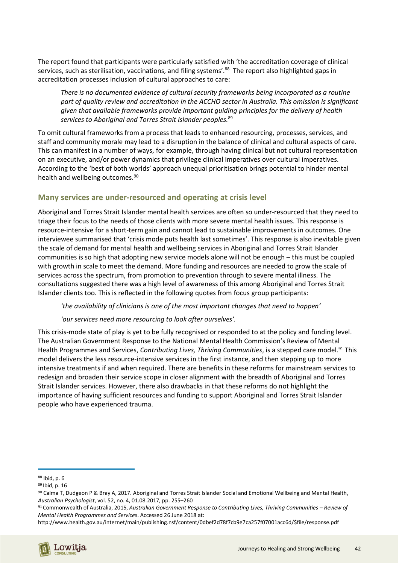The report found that participants were particularly satisfied with 'the accreditation coverage of clinical services, such as sterilisation, vaccinations, and filing systems'.<sup>88</sup> The report also highlighted gaps in accreditation processes inclusion of cultural approaches to care:

*There is no documented evidence of cultural security frameworks being incorporated as a routine part of quality review and accreditation in the ACCHO sector in Australia. This omission is significant given that available frameworks provide important guiding principles for the delivery of health services to Aboriginal and Torres Strait Islander peoples.*<sup>89</sup>

To omit cultural frameworks from a process that leads to enhanced resourcing, processes, services, and staff and community morale may lead to a disruption in the balance of clinical and cultural aspects of care. This can manifest in a number of ways, for example, through having clinical but not cultural representation on an executive, and/or power dynamics that privilege clinical imperatives over cultural imperatives. According to the 'best of both worlds' approach unequal prioritisation brings potential to hinder mental health and wellbeing outcomes.<sup>90</sup>

#### **Many services are under-resourced and operating at crisis level**

Aboriginal and Torres Strait Islander mental health services are often so under-resourced that they need to triage their focus to the needs of those clients with more severe mental health issues. This response is resource-intensive for a short-term gain and cannot lead to sustainable improvements in outcomes. One interviewee summarised that 'crisis mode puts health last sometimes'. This response is also inevitable given the scale of demand for mental health and wellbeing services in Aboriginal and Torres Strait Islander communities is so high that adopting new service models alone will not be enough – this must be coupled with growth in scale to meet the demand. More funding and resources are needed to grow the scale of services across the spectrum, from promotion to prevention through to severe mental illness. The consultations suggested there was a high level of awareness of this among Aboriginal and Torres Strait Islander clients too. This is reflected in the following quotes from focus group participants:

#### *'the availability of clinicians is one of the most important changes that need to happen'*

#### *'our services need more resourcing to look after ourselves'.*

This crisis-mode state of play is yet to be fully recognised or responded to at the policy and funding level. The Australian Government Response to the National Mental Health Commission's Review of Mental Health Programmes and Services, *Contributing Lives, Thriving Communities*, is a stepped care model. <sup>91</sup> This model delivers the less resource-intensive services in the first instance, and then stepping up to more intensive treatments if and when required. There are benefits in these reforms for mainstream services to redesign and broaden their service scope in closer alignment with the breadth of Aboriginal and Torres Strait Islander services. However, there also drawbacks in that these reforms do not highlight the importance of having sufficient resources and funding to support Aboriginal and Torres Strait Islander people who have experienced trauma.

http://www.health.gov.au/internet/main/publishing.nsf/content/0dbef2d78f7cb9e7ca257f07001acc6d/\$file/response.pdf



<sup>88</sup> Ibid, p. 6

<sup>89</sup> Ibid, p. 16

<sup>90</sup> Calma T, Dudgeon P & Bray A, 2017. Aboriginal and Torres Strait Islander Social and Emotional Wellbeing and Mental Health, *Australian Psychologist*, vol. 52, no. 4, 01.08.2017, pp. 255–260

<sup>91</sup> Commonwealth of Australia, 2015, *Australian Government Response to Contributing Lives, Thriving Communities* – *Review of Mental Health Programmes and Service*s. Accessed 26 June 2018 at: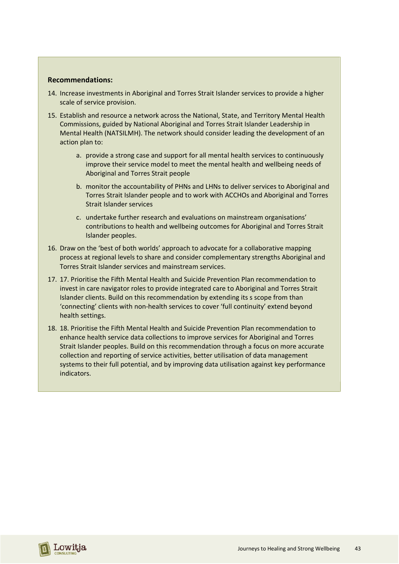#### **Recommendations:**

- 14. Increase investments in Aboriginal and Torres Strait Islander services to provide a higher scale of service provision.
- 15. Establish and resource a network across the National, State, and Territory Mental Health Commissions, guided by National Aboriginal and Torres Strait Islander Leadership in Mental Health (NATSILMH). The network should consider leading the development of an action plan to:
	- a. provide a strong case and support for all mental health services to continuously improve their service model to meet the mental health and wellbeing needs of Aboriginal and Torres Strait people
	- b. monitor the accountability of PHNs and LHNs to deliver services to Aboriginal and Torres Strait Islander people and to work with ACCHOs and Aboriginal and Torres Strait Islander services
	- c. undertake further research and evaluations on mainstream organisations' contributions to health and wellbeing outcomes for Aboriginal and Torres Strait Islander peoples.
- 16. Draw on the 'best of both worlds' approach to advocate for a collaborative mapping process at regional levels to share and consider complementary strengths Aboriginal and Torres Strait Islander services and mainstream services.
- 17. 17. Prioritise the Fifth Mental Health and Suicide Prevention Plan recommendation to invest in care navigator roles to provide integrated care to Aboriginal and Torres Strait Islander clients. Build on this recommendation by extending its s scope from than 'connecting' clients with non-health services to cover 'full continuity' extend beyond health settings.
- 18. 18. Prioritise the Fifth Mental Health and Suicide Prevention Plan recommendation to enhance health service data collections to improve services for Aboriginal and Torres Strait Islander peoples. Build on this recommendation through a focus on more accurate collection and reporting of service activities, better utilisation of data management systems to their full potential, and by improving data utilisation against key performance indicators.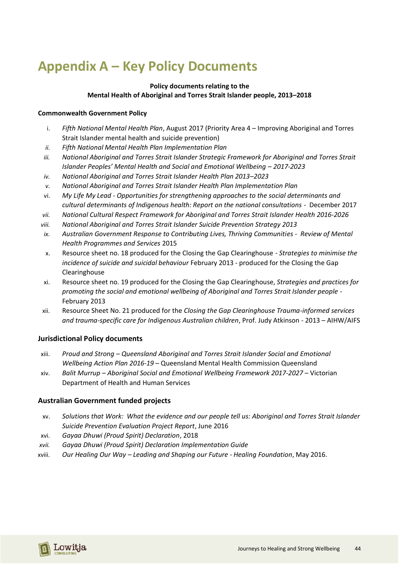# **Appendix A – Key Policy Documents**

#### **Policy documents relating to the Mental Health of Aboriginal and Torres Strait Islander people, 2013–2018**

#### **Commonwealth Government Policy**

- i. *Fifth National Mental Health Plan*, August 2017 (Priority Area 4 Improving Aboriginal and Torres Strait Islander mental health and suicide prevention)
- *ii. Fifth National Mental Health Plan Implementation Plan*
- *iii. National Aboriginal and Torres Strait Islander Strategic Framework for Aboriginal and Torres Strait Islander Peoples' Mental Health and Social and Emotional Wellbeing – 2017-2023*
- *iv. National Aboriginal and Torres Strait Islander Health Plan 2013–2023*
- *v. National Aboriginal and Torres Strait Islander Health Plan Implementation Plan*
- vi. *My Life My Lead - Opportunities for strengthening approaches to the social determinants and cultural determinants of Indigenous health: Report on the national consultations* - December 2017
- *vii. National Cultural Respect Framework for Aboriginal and Torres Strait Islander Health 2016-2026*
- *viii. National Aboriginal and Torres Strait Islander Suicide Prevention Strategy 2013*
- *ix. Australian Government Response to Contributing Lives, Thriving Communities - Review of Mental Health Programmes and Services* 2015
- x. Resource sheet no. 18 produced for the Closing the Gap Clearinghouse *Strategies to minimise the incidence of suicide and suicidal behaviour* February 2013 - produced for the Closing the Gap Clearinghouse
- xi. Resource sheet no. 19 produced for the Closing the Gap Clearinghouse, *Strategies and practices for promoting the social and emotional wellbeing of Aboriginal and Torres Strait Islander people* - February 2013
- xii. Resource Sheet No. 21 produced for the *Closing the Gap Clearinghouse Trauma-informed services and trauma-specific care for Indigenous Australian children*, Prof. Judy Atkinson - 2013 – AIHW/AIFS

#### **Jurisdictional Policy documents**

- xiii. *Proud and Strong – Queensland Aboriginal and Torres Strait Islander Social and Emotional Wellbeing Action Plan 2016-19* – Queensland Mental Health Commission Queensland
- xiv. *Balit Murrup – Aboriginal Social and Emotional Wellbeing Framework 2017-2027* Victorian Department of Health and Human Services

#### **Australian Government funded projects**

- xv. *Solutions that Work: What the evidence and our people tell us: Aboriginal and Torres Strait Islander Suicide Prevention Evaluation Project Report*, June 2016
- xvi. *Gayaa Dhuwi (Proud Spirit) Declaration*, 2018
- *xvii. Gayaa Dhuwi (Proud Spirit) Declaration Implementation Guide*
- xviii. *Our Healing Our Way – Leading and Shaping our Future - Healing Foundation*, May 2016.

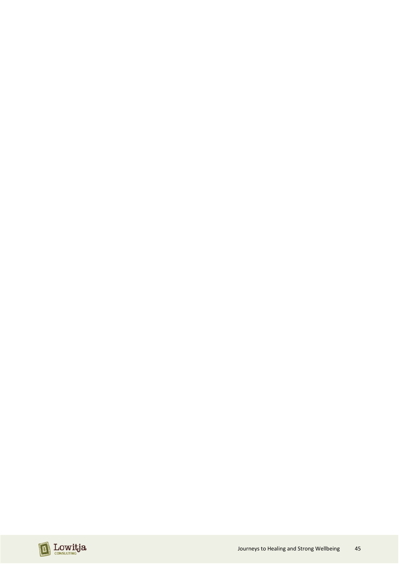